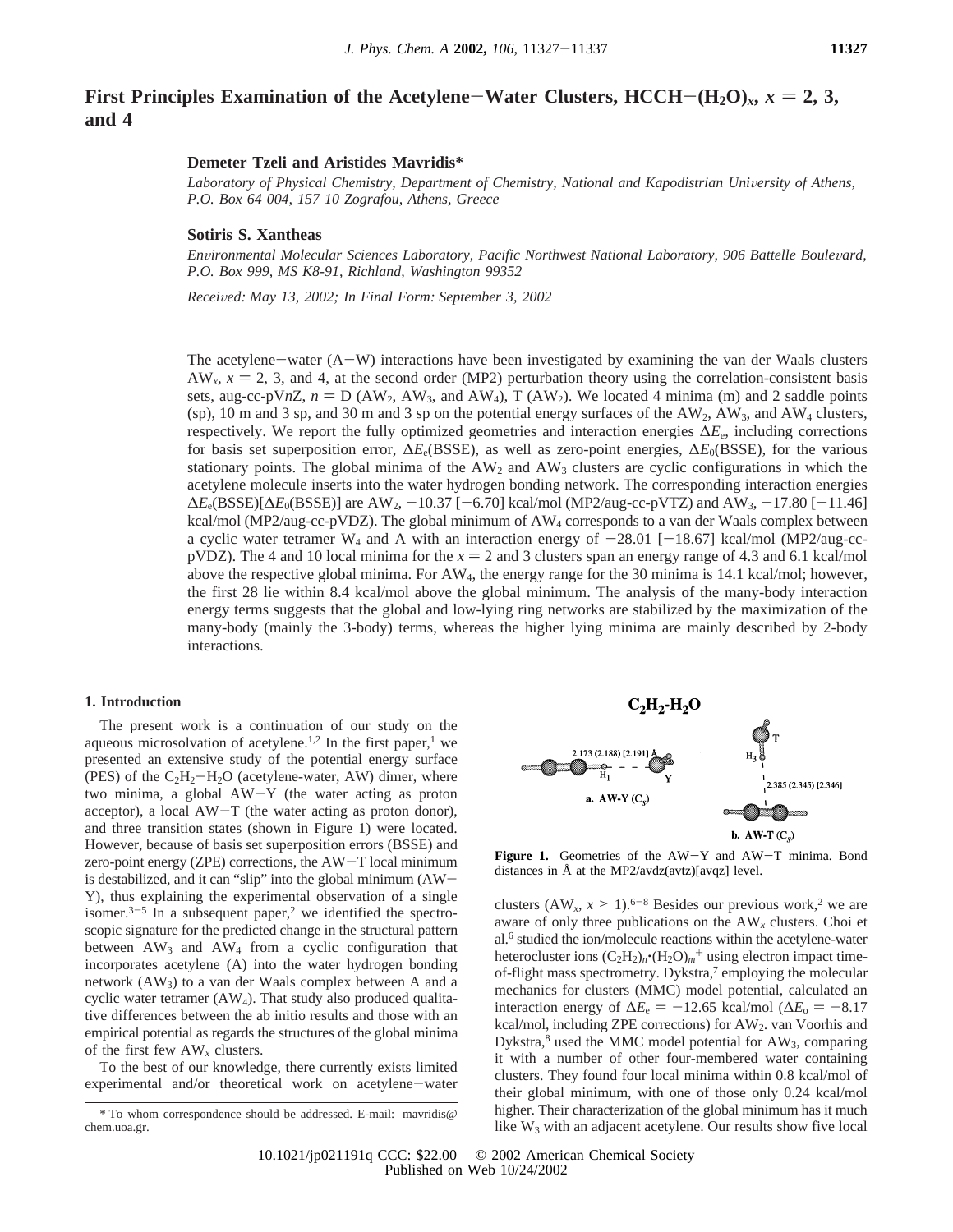# **First Principles Examination of the Acetylene–Water Clusters,**  $\text{HCH}-(\text{H}_2\text{O})_x$ **,**  $x=2,3$ **, and 4**

## **Demeter Tzeli and Aristides Mavridis\***

Laboratory of Physical Chemistry, Department of Chemistry, National and Kapodistrian University of Athens, *P.O. Box 64 004, 157 10 Zografou, Athens, Greece*

### **Sotiris S. Xantheas**

*Environmental Molecular Sciences Laboratory, Pacific Northwest National Laboratory, 906 Battelle Boulevard, P.O. Box 999, MS K8-91, Richland, Washington 99352*

*Recei*V*ed: May 13, 2002; In Final Form: September 3, 2002*

The acetylene-water (A-W) interactions have been investigated by examining the van der Waals clusters  $AW_x$ ,  $x = 2$ , 3, and 4, at the second order (MP2) perturbation theory using the correlation-consistent basis sets, aug-cc-pV*nZ*,  $n = D$  (AW<sub>2</sub>, AW<sub>3</sub>, and AW<sub>4</sub>), T (AW<sub>2</sub>). We located 4 minima (m) and 2 saddle points (sp), 10 m and 3 sp, and 30 m and 3 sp on the potential energy surfaces of the AW<sub>2</sub>, AW<sub>3</sub>, and AW<sub>4</sub> clusters, respectively. We report the fully optimized geometries and interaction energies ∆*E*e, including corrections for basis set superposition error, ∆*E*e(BSSE), as well as zero-point energies, ∆*E*0(BSSE), for the various stationary points. The global minima of the AW<sub>2</sub> and AW<sub>3</sub> clusters are cyclic configurations in which the acetylene molecule inserts into the water hydrogen bonding network. The corresponding interaction energies  $\Delta E_e$ (BSSE)[ $\Delta E_0$ (BSSE)] are AW<sub>2</sub>, −10.37 [−6.70] kcal/mol (MP2/aug-cc-pVTZ) and AW<sub>3</sub>, −17.80 [−11.46] kcal/mol (MP2/aug-cc-pVDZ). The global minimum of AW<sub>4</sub> corresponds to a van der Waals complex between a cyclic water tetramer W<sub>4</sub> and A with an interaction energy of  $-28.01$  [ $-18.67$ ] kcal/mol (MP2/aug-ccpVDZ). The 4 and 10 local minima for the  $x = 2$  and 3 clusters span an energy range of 4.3 and 6.1 kcal/mol above the respective global minima. For AW4, the energy range for the 30 minima is 14.1 kcal/mol; however, the first 28 lie within 8.4 kcal/mol above the global minimum. The analysis of the many-body interaction energy terms suggests that the global and low-lying ring networks are stabilized by the maximization of the many-body (mainly the 3-body) terms, whereas the higher lying minima are mainly described by 2-body interactions.

## **1. Introduction**

The present work is a continuation of our study on the aqueous microsolvation of acetylene.<sup>1,2</sup> In the first paper,<sup>1</sup> we presented an extensive study of the potential energy surface (PES) of the  $C_2H_2-H_2O$  (acetylene-water, AW) dimer, where two minima, a global AW-Y (the water acting as proton acceptor), a local AW-T (the water acting as proton donor), and three transition states (shown in Figure 1) were located. However, because of basis set superposition errors (BSSE) and zero-point energy (ZPE) corrections, the AW-T local minimum is destabilized, and it can "slip" into the global minimum (AW-Y), thus explaining the experimental observation of a single isomer.<sup>3-5</sup> In a subsequent paper,<sup>2</sup> we identified the spectroscopic signature for the predicted change in the structural pattern between  $AW_3$  and  $AW_4$  from a cyclic configuration that incorporates acetylene (A) into the water hydrogen bonding network (AW3) to a van der Waals complex between A and a cyclic water tetramer (AW4). That study also produced qualitative differences between the ab initio results and those with an empirical potential as regards the structures of the global minima of the first few AW*<sup>x</sup>* clusters.

To the best of our knowledge, there currently exists limited experimental and/or theoretical work on acetylene-water



**Figure 1.** Geometries of the AW-Y and AW-T minima. Bond distances in Å at the MP2/avdz(avtz)[avqz] level.

clusters  $(AW_x, x > 1)$ .<sup>6-8</sup> Besides our previous work,<sup>2</sup> we are aware of only three publications on the AW*<sup>x</sup>* clusters. Choi et al.6 studied the ion/molecule reactions within the acetylene-water heterocluster ions  $(C_2H_2)_n$ <sup>-</sup>( $H_2O$ )<sub>*m*</sub><sup>+</sup> using electron impact timeof-flight mass spectrometry. Dykstra,<sup>7</sup> employing the molecular mechanics for clusters (MMC) model potential, calculated an interaction energy of  $\Delta E_e = -12.65$  kcal/mol ( $\Delta E_o = -8.17$ kcal/mol, including ZPE corrections) for AW2. van Voorhis and Dykstra, $8$  used the MMC model potential for AW<sub>3</sub>, comparing it with a number of other four-membered water containing clusters. They found four local minima within 0.8 kcal/mol of their global minimum, with one of those only 0.24 kcal/mol higher. Their characterization of the global minimum has it much like  $W_3$  with an adjacent acetylene. Our results show five local

<sup>\*</sup> To whom correspondence should be addressed. E-mail: mavridis@ chem.uoa.gr.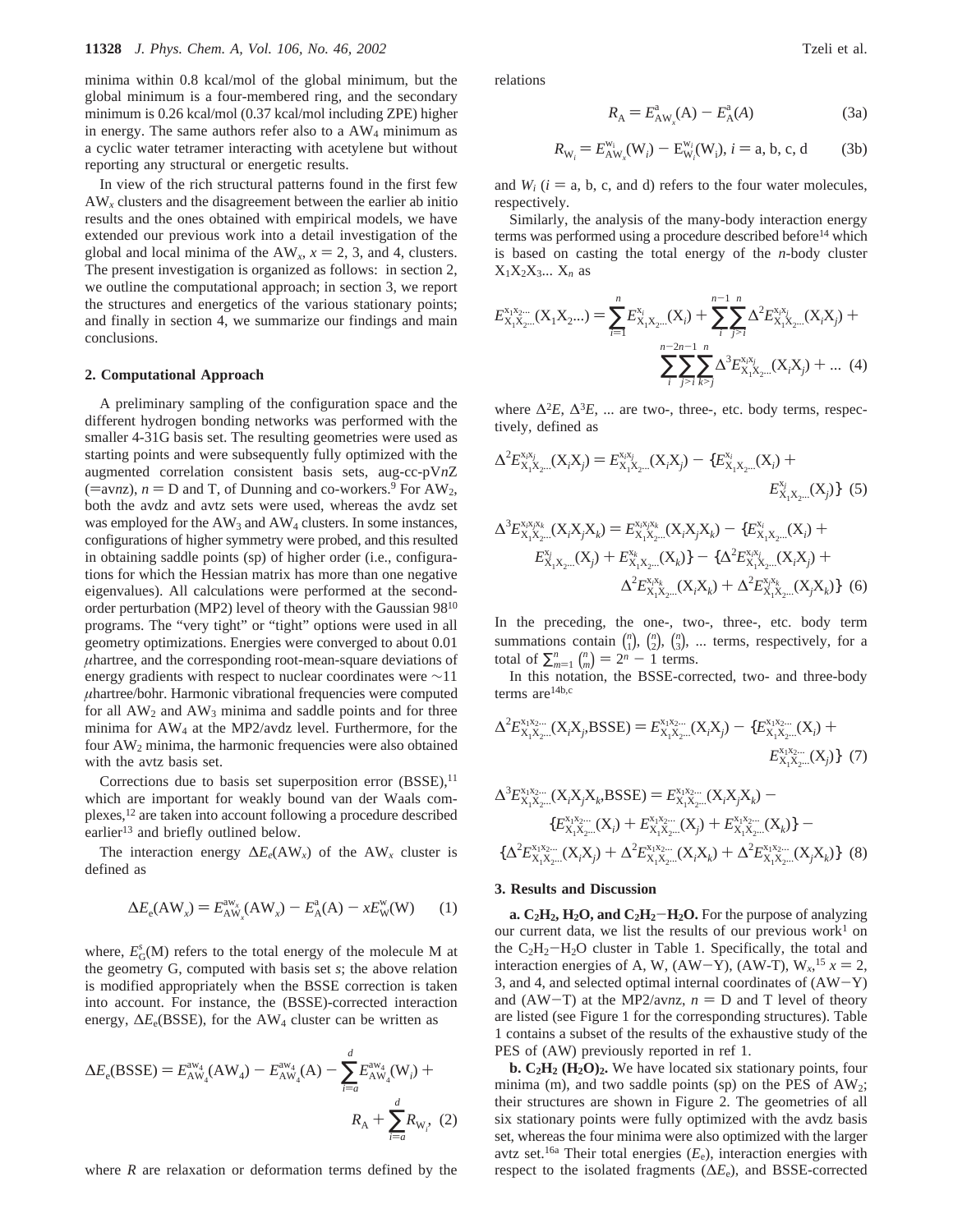minima within 0.8 kcal/mol of the global minimum, but the global minimum is a four-membered ring, and the secondary minimum is 0.26 kcal/mol (0.37 kcal/mol including ZPE) higher in energy. The same authors refer also to a AW4 minimum as a cyclic water tetramer interacting with acetylene but without reporting any structural or energetic results.

In view of the rich structural patterns found in the first few AW*<sup>x</sup>* clusters and the disagreement between the earlier ab initio results and the ones obtained with empirical models, we have extended our previous work into a detail investigation of the global and local minima of the  $AW_x$ ,  $x = 2$ , 3, and 4, clusters. The present investigation is organized as follows: in section 2, we outline the computational approach; in section 3, we report the structures and energetics of the various stationary points; and finally in section 4, we summarize our findings and main conclusions.

#### **2. Computational Approach**

A preliminary sampling of the configuration space and the different hydrogen bonding networks was performed with the smaller 4-31G basis set. The resulting geometries were used as starting points and were subsequently fully optimized with the augmented correlation consistent basis sets, aug-cc-pV*n*Z (=avnz),  $n = D$  and T, of Dunning and co-workers.<sup>9</sup> For AW<sub>2</sub>, both the avdz and avtz sets were used, whereas the avdz set was employed for the  $AW_3$  and  $AW_4$  clusters. In some instances, configurations of higher symmetry were probed, and this resulted in obtaining saddle points (sp) of higher order (i.e., configurations for which the Hessian matrix has more than one negative eigenvalues). All calculations were performed at the secondorder perturbation (MP2) level of theory with the Gaussian 9810 programs. The "very tight" or "tight" options were used in all geometry optimizations. Energies were converged to about 0.01 *µ*hartree, and the corresponding root-mean-square deviations of energy gradients with respect to nuclear coordinates were ∼11 *µ*hartree/bohr. Harmonic vibrational frequencies were computed for all AW<sub>2</sub> and AW<sub>3</sub> minima and saddle points and for three minima for  $AW_4$  at the MP2/avdz level. Furthermore, for the four AW2 minima, the harmonic frequencies were also obtained with the avtz basis set.

Corrections due to basis set superposition error  $(BSSE)$ ,<sup>11</sup> which are important for weakly bound van der Waals complexes,12 are taken into account following a procedure described earlier<sup>13</sup> and briefly outlined below.

The interaction energy  $\Delta E_e$ (AW<sub>x</sub>) of the AW<sub>x</sub> cluster is defined as

$$
\Delta E_e(\text{AW}_x) = E_{\text{AW}_x}^{\text{aw}_x}(\text{AW}_x) - E_{\text{A}}^{\text{a}}(\text{A}) - xE_{\text{W}}^{\text{w}}(\text{W}) \tag{1}
$$

where,  $E_G^s(M)$  refers to the total energy of the molecule M at the geometry G, computed with basis set *s*; the above relation is modified appropriately when the BSSE correction is taken into account. For instance, the (BSSE)-corrected interaction energy, ∆*E*e(BSSE), for the AW4 cluster can be written as

$$
\Delta E_{\rm e}(\text{BSSE}) = E_{\rm AW_4}^{\rm aw_4}(\text{AW}_4) - E_{\rm AW_4}^{\rm aw_4}(\text{A}) - \sum_{i=a}^{d} E_{\rm AW_4}^{\rm aw_4}(\text{W}_i) + R_{\rm A} + \sum_{i=a}^{d} R_{\rm W_i}, \tag{2}
$$

where *R* are relaxation or deformation terms defined by the

relations

$$
R_{A} = E^{a}_{AW_{x}}(A) - E^{a}_{A}(A)
$$
 (3a)

$$
R_{W_i} = E_{AW_x}^{w_i}(W_i) - E_{W_i}^{w_i}(W_i), i = a, b, c, d
$$
 (3b)

and  $W_i$  ( $i = a, b, c,$  and d) refers to the four water molecules, respectively.

Similarly, the analysis of the many-body interaction energy terms was performed using a procedure described before<sup>14</sup> which is based on casting the total energy of the *n*-body cluster  $X_1X_2X_3... X_n$  as

$$
E_{X_1X_2...}^{x_1x_2...}(X_1X_2...) = \sum_{i=1}^n E_{X_1X_2...}^{x_i}(X_i) + \sum_{i}^{n-1} \sum_{j>i}^n \Delta^2 E_{X_1X_2...}^{x_ix_j}(X_iX_j) + \sum_{i}^{n-2n-1} \sum_{j>i}^n \sum_{k>j}^n \Delta^3 E_{X_1X_2...}^{x_ix_j}(X_iX_j) + ...
$$
 (4)

where  $\Delta^2 E$ ,  $\Delta^3 E$ , ... are two-, three-, etc. body terms, respectively, defined as

$$
\Delta^{2}E_{X_{1}X_{2}\dots}(X_{i}X_{j}) = E_{X_{1}X_{2}\dots}(X_{i}X_{j}) - \{E_{X_{1}X_{2}\dots}(X_{i}) + E_{X_{1}X_{2}\dots}(X_{j})\}
$$
(5)  

$$
E_{X_{1}X_{2}\dots}(X_{j})\}
$$
(5)  

$$
\Delta^{3}E_{X_{1}X_{2}\dots}(X_{i}X_{j}X_{k}) = E_{X_{1}X_{2}\dots}(X_{i}X_{j}X_{k}) - \{E_{X_{1}X_{2}\dots}(X_{i}) + E_{X_{1}X_{2}\dots}(X_{i}) + E_{X_{1}X_{2}\dots}(X_{i})\}
$$

$$
E_{X_1X_2\ldots}(X_j) + E_{X_1X_2\ldots}(X_k) - \{\Delta^2 E_{X_1X_2\ldots}(X_iX_j) + \Delta^2 E_{X_1X_2\ldots}(X_iX_k) + \Delta^2 E_{X_1X_2\ldots}(X_jX_k)\}
$$
(6)

In the preceding, the one-, two-, three-, etc. body term summations contain  $\binom{n}{1}$ ,  $\binom{n}{2}$ ,  $\binom{n}{3}$ , ... terms, respectively, for a total of  $\sum_{m=1}^{n} {n \choose m} = 2^n - 1$  terms.<br>In this notation, the BSSE-corre

In this notation, the BSSE-corrected, two- and three-body terms are<sup>14b,c</sup>

$$
\Delta^{2}E_{X_{1}X_{2}\dots}^{x_{1}x_{2}\dots}(X_{i}X_{j},\text{BSSE}) = E_{X_{1}X_{2}\dots}^{x_{1}x_{2}\dots}(X_{i}X_{j}) - \{E_{X_{1}X_{2}\dots}^{x_{1}x_{2}\dots}(X_{i}) + E_{X_{1}X_{2}\dots}^{x_{1}x_{2}\dots}(X_{j})\} (7)
$$

$$
\Delta^{3}E_{X_{1}X_{2}\dots}^{x_{1}x_{2}\dots}(X_{i}X_{j}X_{k},\text{BSSE}) = E_{X_{1}X_{2}\dots}^{x_{1}x_{2}\dots}(X_{i}X_{j}X_{k}) -\{E_{X_{1}X_{2}\dots}^{x_{1}x_{2}\dots}(X_{i}) + E_{X_{1}X_{2}\dots}^{x_{1}x_{2}\dots}(X_{j}) + E_{X_{1}X_{2}\dots}^{x_{1}x_{2}\dots}(X_{k})\} -\{\Delta^{2}E_{X_{1}X_{2}\dots}^{x_{1}x_{2}\dots}(X_{i}X_{j}) + \Delta^{2}E_{X_{1}X_{2}\dots}^{x_{1}x_{2}\dots}(X_{j}X_{k}) + \Delta^{2}E_{X_{1}X_{2}\dots}^{x_{1}x_{2}\dots}(X_{j}X_{k})\}\n\tag{8}
$$

#### **3. Results and Discussion**

**a.**  $C_2H_2$ ,  $H_2O$ , and  $C_2H_2-H_2O$ . For the purpose of analyzing our current data, we list the results of our previous work<sup>1</sup> on the  $C_2H_2-H_2O$  cluster in Table 1. Specifically, the total and interaction energies of A, W,  $(AW-Y)$ ,  $(AW-T)$ ,  $W_x$ , <sup>15</sup>  $x = 2$ ,<br>3, and 4, and selected optimal internal coordinates of  $(AW-Y)$ 3, and 4, and selected optimal internal coordinates of  $(AW-Y)$ and (AW-T) at the MP2/avnz,  $n = D$  and T level of theory are listed (see Figure 1 for the corresponding structures). Table 1 contains a subset of the results of the exhaustive study of the PES of (AW) previously reported in ref 1.

**b. C2H2 (H2O)2.** We have located six stationary points, four minima (m), and two saddle points (sp) on the PES of  $AW_2$ ; their structures are shown in Figure 2. The geometries of all six stationary points were fully optimized with the avdz basis set, whereas the four minima were also optimized with the larger avtz set.<sup>16a</sup> Their total energies  $(E_e)$ , interaction energies with respect to the isolated fragments (∆*E*e), and BSSE-corrected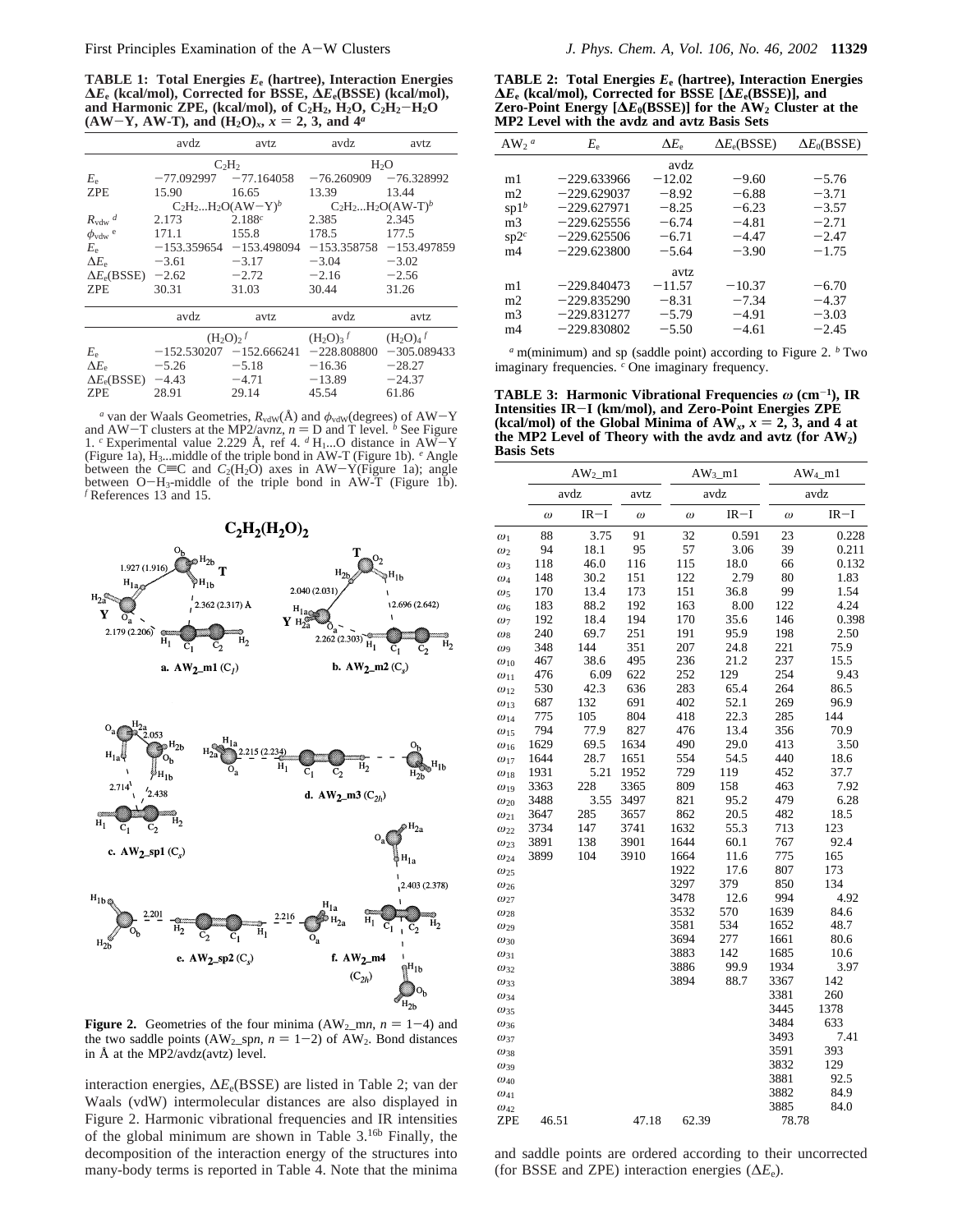**TABLE 1: Total Energies** *E***<sup>e</sup> (hartree), Interaction Energies ∆***E***<sup>e</sup> (kcal/mol), Corrected for BSSE, ∆***E***e(BSSE) (kcal/mol),** and Harmonic ZPE, (kcal/mol), of  $C_2H_2$ ,  $H_2O$ ,  $C_2H_2-H_2O$  $(AW-Y, AW-T)$ , and  $(H_2O)_x$ ,  $x = 2, 3$ , and  $4^a$ 

|                                  | avdz         | avdz<br>avtz              |                         | avtz             |
|----------------------------------|--------------|---------------------------|-------------------------|------------------|
|                                  |              | $C_2H_2$                  |                         | H <sub>2</sub> O |
| $E_{\rm e}$                      | $-77.092997$ | $-77.164058$              | $-76.260909$            | $-76.328992$     |
| <b>ZPE</b>                       | 15.90        | 16.65                     | 13.39                   | 13.44            |
|                                  |              | $C_2H_2H_2O(AW-Y)^b$      | $C_2H_2H_2O(AW-T)^b$    |                  |
| $R_{\text{vdw}}$ <sup>d</sup>    | 2.173        | 2.188c                    | 2.385                   | 2.345            |
| $\phi_{\text{vdw}}$ <sup>e</sup> | 171.1        | 155.8                     | 178.5                   | 177.5            |
| $E_e$                            |              | $-153.359654 -153.498094$ | $-153.358758$           | $-153.497859$    |
| $\Delta E_e$                     | $-3.61$      | $-3.17$                   | $-3.04$                 | $-3.02$          |
| $\Delta E_e(BSSE)$               | $-2.62$      | $-2.72$                   | $-2.16$                 | $-2.56$          |
| <b>ZPE</b>                       | 30.31        | 31.03                     | 30.44                   | 31.26            |
|                                  | avdz         | avtz                      | avdz                    | avtz             |
|                                  |              | $(H_2O)_2^f$              | $(H_2O)_3$ <sup>f</sup> | $(H_2O)4$        |
| $E_{\rm e}$                      |              | $-152.530207 -152.666241$ | $-228.808800$           | $-305.089433$    |
| $\Delta E_e$                     | $-5.26$      | $-5.18$                   | $-16.36$                | $-28.27$         |
| $\Delta E_e(BSSE)$               | $-4.43$      | $-4.71$                   | $-13.89$                | $-24.37$         |
| ZPE                              | 28.91        | 29.14                     | 45.54                   | 61.86            |

*a* van der Waals Geometries,  $R_{vdW}(\text{Å})$  and  $\phi_{vdW}(\text{degrees})$  of  $AW-Y$  d  $AW-T$  clusters at the MP2/avnz,  $n = D$  and T level. *b* See Figure and AW-T clusters at the MP2/av*nz*,  $n = D$  and T level. *b* See Figure 1. *c* Experimental value 2.229 Å, ref 4, *d* H<sub>1</sub>...O distance in AW-Y 1. *c* Experimental value 2.229 Å, ref 4.  $d$  H<sub>1</sub>...O distance in AW-Y (Figure 1a), H3...middle of the triple bond in AW-T (Figure 1b). *<sup>e</sup>* Angle between the C=C and  $C_2(H_2O)$  axes in AW-Y(Figure 1a); angle<br>between O-H<sub>3</sub>-middle of the triple bond in AW-T (Figure 1b). between  $O-H_3$ -middle of the triple bond in AW-T (Figure 1b).<br>*f* References 13 and 15. *<sup>f</sup>* References 13 and 15.



**Figure 2.** Geometries of the four minima  $(AW_2$ \_mn,  $n = 1-4$ ) and the two saddle points (AW<sub>2</sub> spn,  $n = 1-2$ ) of AW<sub>2</sub>. Bond distances in Å at the MP2/avdz(avtz) level.

interaction energies, ∆*E*e(BSSE) are listed in Table 2; van der Waals (vdW) intermolecular distances are also displayed in Figure 2. Harmonic vibrational frequencies and IR intensities of the global minimum are shown in Table 3.16b Finally, the decomposition of the interaction energy of the structures into many-body terms is reported in Table 4. Note that the minima

**TABLE 2: Total Energies** *E***<sup>e</sup> (hartree), Interaction Energies ∆***E***<sup>e</sup> (kcal/mol), Corrected for BSSE [∆***E***e(BSSE)], and Zero-Point Energy [** $\Delta E_0(BSSE)$ **] for the AW<sub>2</sub> Cluster at the MP2 Level with the avdz and avtz Basis Sets**

| $AW_2$ <sup>a</sup> | $E_{\rm e}$   | $\Delta E_e$ | $\Delta E_e(BSSE)$ | $\Delta E_0(BSSE)$ |
|---------------------|---------------|--------------|--------------------|--------------------|
|                     |               | avdz         |                    |                    |
| m1                  | $-229.633966$ | $-12.02$     | $-9.60$            | $-5.76$            |
| m2                  | $-229.629037$ | $-8.92$      | $-6.88$            | $-3.71$            |
| $\text{sp1}^b$      | $-229.627971$ | $-8.25$      | $-6.23$            | $-3.57$            |
| m <sub>3</sub>      | $-229.625556$ | $-6.74$      | $-4.81$            | $-2.71$            |
| $sp2^c$             | $-229.625506$ | $-6.71$      | $-4.47$            | $-2.47$            |
| m4                  | $-229.623800$ | $-5.64$      | $-3.90$            | $-1.75$            |
|                     |               | avtz         |                    |                    |
| m1                  | $-229.840473$ | $-11.57$     | $-10.37$           | $-6.70$            |
| m2                  | $-229.835290$ | $-8.31$      | $-7.34$            | $-4.37$            |
| m <sub>3</sub>      | $-229.831277$ | $-5.79$      | $-4.91$            | $-3.03$            |
| m4                  | $-229.830802$ | $-5.50$      | $-4.61$            | $-2.45$            |
|                     |               |              |                    |                    |

*<sup>a</sup>* m(minimum) and sp (saddle point) according to Figure 2. *<sup>b</sup>* Two imaginary frequencies. *<sup>c</sup>* One imaginary frequency.

**TABLE 3: Harmonic Vibrational Frequencies** *ω* **(cm**-**1), IR Intensities IR**-**I (km/mol), and Zero-Point Energies ZPE** (kcal/mol) of the Global Minima of  $AW_x$ ,  $x = 2$ , 3, and 4 at the MP2 Level of Theory with the avdz and avtz (for  $AW_2$ ) **the MP2 Level of Theory with the avdz and avtz (for AW2) Basis Sets**

|               | $AW2$ m1 |        | $AW_3_m1$ |          | $AW_{4}$ _m1 |          |        |
|---------------|----------|--------|-----------|----------|--------------|----------|--------|
|               | avdz     |        | avtz      |          | avdz         |          | avdz   |
|               | $\omega$ | $IR-I$ | $\omega$  | $\omega$ | $IR-I$       | $\omega$ | $IR-I$ |
| $\omega_1$    | 88       | 3.75   | 91        | 32       | 0.591        | 23       | 0.228  |
| $\omega_2$    | 94       | 18.1   | 95        | 57       | 3.06         | 39       | 0.211  |
| $\omega_3$    | 118      | 46.0   | 116       | 115      | 18.0         | 66       | 0.132  |
| $\omega_4$    | 148      | 30.2   | 151       | 122      | 2.79         | 80       | 1.83   |
| $\omega_5$    | 170      | 13.4   | 173       | 151      | 36.8         | 99       | 1.54   |
| $\omega_6$    | 183      | 88.2   | 192       | 163      | 8.00         | 122      | 4.24   |
| $\omega_7$    | 192      | 18.4   | 194       | 170      | 35.6         | 146      | 0.398  |
| $\omega_8$    | 240      | 69.7   | 251       | 191      | 95.9         | 198      | 2.50   |
| $\omega_9$    | 348      | 144    | 351       | 207      | 24.8         | 221      | 75.9   |
| $\omega_{10}$ | 467      | 38.6   | 495       | 236      | 21.2         | 237      | 15.5   |
| $\omega_{11}$ | 476      | 6.09   | 622       | 252      | 129          | 254      | 9.43   |
| $\omega_{12}$ | 530      | 42.3   | 636       | 283      | 65.4         | 264      | 86.5   |
| $\omega_{13}$ | 687      | 132    | 691       | 402      | 52.1         | 269      | 96.9   |
| $\omega_{14}$ | 775      | 105    | 804       | 418      | 22.3         | 285      | 144    |
| $\omega_{15}$ | 794      | 77.9   | 827       | 476      | 13.4         | 356      | 70.9   |
| $\omega_{16}$ | 1629     | 69.5   | 1634      | 490      | 29.0         | 413      | 3.50   |
| $\omega_{17}$ | 1644     | 28.7   | 1651      | 554      | 54.5         | 440      | 18.6   |
| $\omega_{18}$ | 1931     | 5.21   | 1952      | 729      | 119          | 452      | 37.7   |
| $\omega_{19}$ | 3363     | 228    | 3365      | 809      | 158          | 463      | 7.92   |
| $\omega_{20}$ | 3488     | 3.55   | 3497      | 821      | 95.2         | 479      | 6.28   |
| $\omega_{21}$ | 3647     | 285    | 3657      | 862      | 20.5         | 482      | 18.5   |
| $\omega_{22}$ | 3734     | 147    | 3741      | 1632     | 55.3         | 713      | 123    |
| $\omega_{23}$ | 3891     | 138    | 3901      | 1644     | 60.1         | 767      | 92.4   |
| $\omega_{24}$ | 3899     | 104    | 3910      | 1664     | 11.6         | 775      | 165    |
| $\omega_{25}$ |          |        |           | 1922     | 17.6         | 807      | 173    |
| $\omega_{26}$ |          |        |           | 3297     | 379          | 850      | 134    |
| $\omega_{27}$ |          |        |           | 3478     | 12.6         | 994      | 4.92   |
| $\omega_{28}$ |          |        |           | 3532     | 570          | 1639     | 84.6   |
| $\omega_{29}$ |          |        |           | 3581     | 534          | 1652     | 48.7   |
| $\omega_{30}$ |          |        |           | 3694     | 277          | 1661     | 80.6   |
| $\omega_{31}$ |          |        |           | 3883     | 142          | 1685     | 10.6   |
| $\omega_{32}$ |          |        |           | 3886     | 99.9         | 1934     | 3.97   |
| $\omega_{33}$ |          |        |           | 3894     | 88.7         | 3367     | 142    |
| $\omega_{34}$ |          |        |           |          |              | 3381     | 260    |
| $\omega_{35}$ |          |        |           |          |              | 3445     | 1378   |
| $\omega_{36}$ |          |        |           |          |              | 3484     | 633    |
| $\omega_{37}$ |          |        |           |          |              | 3493     | 7.41   |
| $\omega_{38}$ |          |        |           |          |              | 3591     | 393    |
| $\omega_{39}$ |          |        |           |          |              | 3832     | 129    |
| $\omega_{40}$ |          |        |           |          |              | 3881     | 92.5   |
| $\omega_{41}$ |          |        |           |          |              | 3882     | 84.9   |
| $\omega_{42}$ |          |        |           |          |              | 3885     | 84.0   |
| ZPE           | 46.51    |        | 47.18     | 62.39    |              | 78.78    |        |

and saddle points are ordered according to their uncorrected (for BSSE and ZPE) interaction energies (∆*E*e).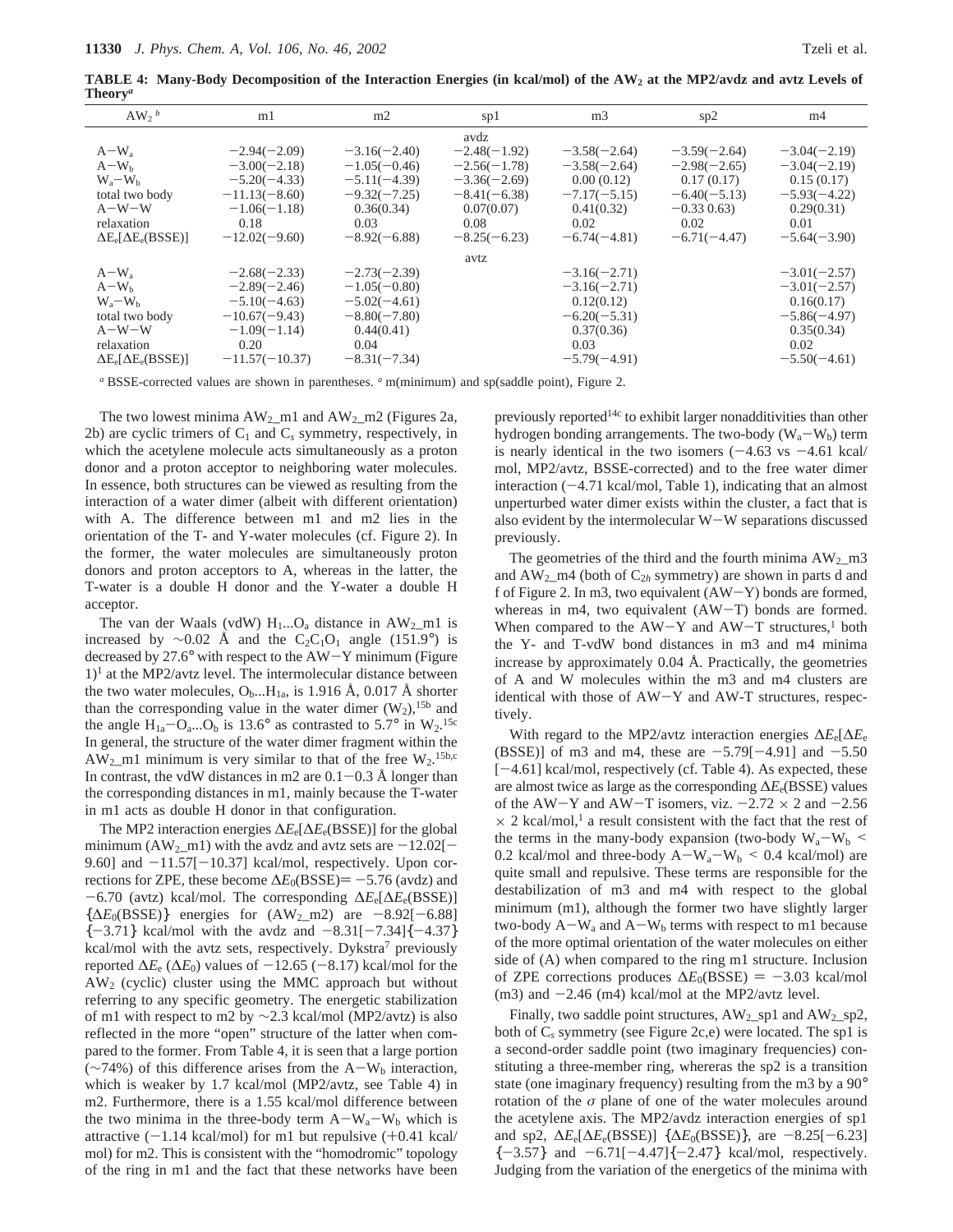**TABLE 4: Many-Body Decomposition of the Interaction Energies (in kcal/mol) of the AW2 at the MP2/avdz and avtz Levels of Theory***<sup>a</sup>*

| $AW_2^b$                       | m1               | m2             | sp1            | m <sub>3</sub> | sp2            | m4             |
|--------------------------------|------------------|----------------|----------------|----------------|----------------|----------------|
|                                |                  |                | avdz           |                |                |                |
| $A-W_a$                        | $-2.94(-2.09)$   | $-3.16(-2.40)$ | $-2.48(-1.92)$ | $-3.58(-2.64)$ | $-3.59(-2.64)$ | $-3.04(-2.19)$ |
| $A-W_h$                        | $-3.00(-2.18)$   | $-1.05(-0.46)$ | $-2.56(-1.78)$ | $-3.58(-2.64)$ | $-2.98(-2.65)$ | $-3.04(-2.19)$ |
| $W_a-W_b$                      | $-5.20(-4.33)$   | $-5.11(-4.39)$ | $-3.36(-2.69)$ | 0.00(0.12)     | 0.17(0.17)     | 0.15(0.17)     |
| total two body                 | $-11.13(-8.60)$  | $-9.32(-7.25)$ | $-8.41(-6.38)$ | $-7.17(-5.15)$ | $-6.40(-5.13)$ | $-5.93(-4.22)$ |
| $A-W-W$                        | $-1.06(-1.18)$   | 0.36(0.34)     | 0.07(0.07)     | 0.41(0.32)     | $-0.330.63$    | 0.29(0.31)     |
| relaxation                     | 0.18             | 0.03           | 0.08           | 0.02           | 0.02           | 0.01           |
| $\Delta E_e[\Delta E_e(BSSE)]$ | $-12.02(-9.60)$  | $-8.92(-6.88)$ | $-8.25(-6.23)$ | $-6.74(-4.81)$ | $-6.71(-4.47)$ | $-5.64(-3.90)$ |
|                                |                  |                | avtz           |                |                |                |
| $A-W_a$                        | $-2.68(-2.33)$   | $-2.73(-2.39)$ |                | $-3.16(-2.71)$ |                | $-3.01(-2.57)$ |
| $A-Wb$                         | $-2.89(-2.46)$   | $-1.05(-0.80)$ |                | $-3.16(-2.71)$ |                | $-3.01(-2.57)$ |
| $W_a-W_b$                      | $-5.10(-4.63)$   | $-5.02(-4.61)$ |                | 0.12(0.12)     |                | 0.16(0.17)     |
| total two body                 | $-10.67(-9.43)$  | $-8.80(-7.80)$ |                | $-6.20(-5.31)$ |                | $-5.86(-4.97)$ |
| $A-W-W$                        | $-1.09(-1.14)$   | 0.44(0.41)     |                | 0.37(0.36)     |                | 0.35(0.34)     |
| relaxation                     | 0.20             | 0.04           |                | 0.03           |                | 0.02           |
| $\Delta E_e[\Delta E_e(BSSE)]$ | $-11.57(-10.37)$ | $-8.31(-7.34)$ |                | $-5.79(-4.91)$ |                | $-5.50(-4.61)$ |

*<sup>a</sup>* BSSE-corrected values are shown in parentheses. *<sup>a</sup>* m(minimum) and sp(saddle point), Figure 2.

The two lowest minima  $AW_2$ \_m1 and  $AW_2$ \_m2 (Figures 2a, 2b) are cyclic trimers of  $C_1$  and  $C_s$  symmetry, respectively, in which the acetylene molecule acts simultaneously as a proton donor and a proton acceptor to neighboring water molecules. In essence, both structures can be viewed as resulting from the interaction of a water dimer (albeit with different orientation) with A. The difference between m1 and m2 lies in the orientation of the T- and Y-water molecules (cf. Figure 2). In the former, the water molecules are simultaneously proton donors and proton acceptors to A, whereas in the latter, the T-water is a double H donor and the Y-water a double H acceptor.

The van der Waals (vdW)  $H_1...O_a$  distance in  $AW_2$  m1 is increased by  $\sim$ 0.02 Å and the C<sub>2</sub>C<sub>1</sub>O<sub>1</sub> angle (151.9°) is decreased by 27.6° with respect to the AW-Y minimum (Figure  $1$ <sup>1</sup> at the MP2/avtz level. The intermolecular distance between the two water molecules,  $O_b$ ...H<sub>1a</sub>, is 1.916 Å, 0.017 Å shorter than the corresponding value in the water dimer  $(W_2)$ , <sup>15b</sup> and the angle  $H_{1a} - O_{a}$ ... $O_b$  is 13.6° as contrasted to 5.7° in  $W_2$ .<sup>15c</sup><br>In general, the structure of the water dimer fragment within the In general, the structure of the water dimer fragment within the  $AW_2$  m1 minimum is very similar to that of the free  $W_2$ .<sup>15b,c</sup> In contrast, the vdW distances in m2 are  $0.1-0.3$  Å longer than the corresponding distances in m1, mainly because the T-water in m1 acts as double H donor in that configuration.

The MP2 interaction energies ∆*E*e[∆*E*e(BSSE)] for the global minimum (AW<sub>2</sub>\_m1) with the avdz and avtz sets are  $-12.02$ [-9.60] and  $-11.57[-10.37]$  kcal/mol, respectively. Upon corrections for ZPE, these become  $\Delta E_0(BSSE) = -5.76$  (avdz) and -6.70 (avtz) kcal/mol. The corresponding <sup>∆</sup>*E*e[∆*E*e(BSSE)]  $\{\Delta E_0(BSSE)\}\$  energies for  $(AW_2_m2)$  are  $-8.92[-6.88]$  ${-3.71}$  kcal/mol with the avdz and  $-8.31[-7.34]\{-4.37\}$ kcal/mol with the avtz sets, respectively. Dykstra<sup>7</sup> previously reported  $\Delta E_e$  ( $\Delta E_0$ ) values of  $-12.65$  ( $-8.17$ ) kcal/mol for the AW2 (cyclic) cluster using the MMC approach but without referring to any specific geometry. The energetic stabilization of m1 with respect to m2 by  $\sim$ 2.3 kcal/mol (MP2/avtz) is also reflected in the more "open" structure of the latter when compared to the former. From Table 4, it is seen that a large portion  $(\sim 74\%)$  of this difference arises from the A-W<sub>b</sub> interaction, which is weaker by 1.7 kcal/mol (MP2/avtz, see Table 4) in m2. Furthermore, there is a 1.55 kcal/mol difference between the two minima in the three-body term  $A-W_a-W_b$  which is attractive  $(-1.14 \text{ kcal/mol})$  for m1 but repulsive  $(+0.41 \text{ kcal/m})$ mol) for m2. This is consistent with the "homodromic" topology of the ring in m1 and the fact that these networks have been previously reported14c to exhibit larger nonadditivities than other hydrogen bonding arrangements. The two-body  $(W_a-W_b)$  term is nearly identical in the two isomers  $(-4.63 \text{ vs } -4.61 \text{ kcal})$ mol, MP2/avtz, BSSE-corrected) and to the free water dimer interaction  $(-4.71 \text{ kcal/mol}, \text{Table 1})$ , indicating that an almost unperturbed water dimer exists within the cluster, a fact that is also evident by the intermolecular W-W separations discussed previously.

The geometries of the third and the fourth minima  $AW_2$  m3 and  $AW_2$ <sub>m4</sub> (both of  $C_{2h}$  symmetry) are shown in parts d and f of Figure 2. In m3, two equivalent  $(AW-Y)$  bonds are formed, whereas in m4, two equivalent (AW-T) bonds are formed. When compared to the  $AW-Y$  and  $AW-T$  structures,<sup>1</sup> both the Y- and T-vdW bond distances in m3 and m4 minima increase by approximately 0.04 Å. Practically, the geometries of A and W molecules within the m3 and m4 clusters are identical with those of AW-Y and AW-T structures, respectively.

With regard to the MP2/avtz interaction energies ∆*E*e[∆*E*<sup>e</sup> (BSSE)] of m3 and m4, these are  $-5.79[-4.91]$  and  $-5.50$ [-4.61] kcal/mol, respectively (cf. Table 4). As expected, these are almost twice as large as the corresponding ∆*E*e(BSSE) values of the AW-Y and AW-T isomers, viz.  $-2.72 \times 2$  and  $-2.56$  $\times$  2 kcal/mol,<sup>1</sup> a result consistent with the fact that the rest of the terms in the many-body expansion (two-body  $W_a-W_b$ ) 0.2 kcal/mol and three-body  $A-W_a-W_b \le 0.4$  kcal/mol) are quite small and repulsive. These terms are responsible for the destabilization of m3 and m4 with respect to the global minimum (m1), although the former two have slightly larger two-body  $A-W_a$  and  $A-W_b$  terms with respect to m1 because of the more optimal orientation of the water molecules on either side of (A) when compared to the ring m1 structure. Inclusion of ZPE corrections produces  $\Delta E_0(BSSE) = -3.03$  kcal/mol  $(m3)$  and  $-2.46$   $(m4)$  kcal/mol at the MP2/avtz level.

Finally, two saddle point structures,  $AW_2$ \_sp1 and  $AW_2$ \_sp2, both of C*<sup>s</sup>* symmetry (see Figure 2c,e) were located. The sp1 is a second-order saddle point (two imaginary frequencies) constituting a three-member ring, whereras the sp2 is a transition state (one imaginary frequency) resulting from the m3 by a 90° rotation of the *σ* plane of one of the water molecules around the acetylene axis. The MP2/avdz interaction energies of sp1 and sp2,  $\Delta E_e[\Delta E_e(BSSE)]$  { $\Delta E_0(BSSE)$ }, are -8.25[-6.23]  ${-3.57}$  and  ${-6.71}$ [ $-4.47$ ] ${-2.47}$  kcal/mol, respectively. Judging from the variation of the energetics of the minima with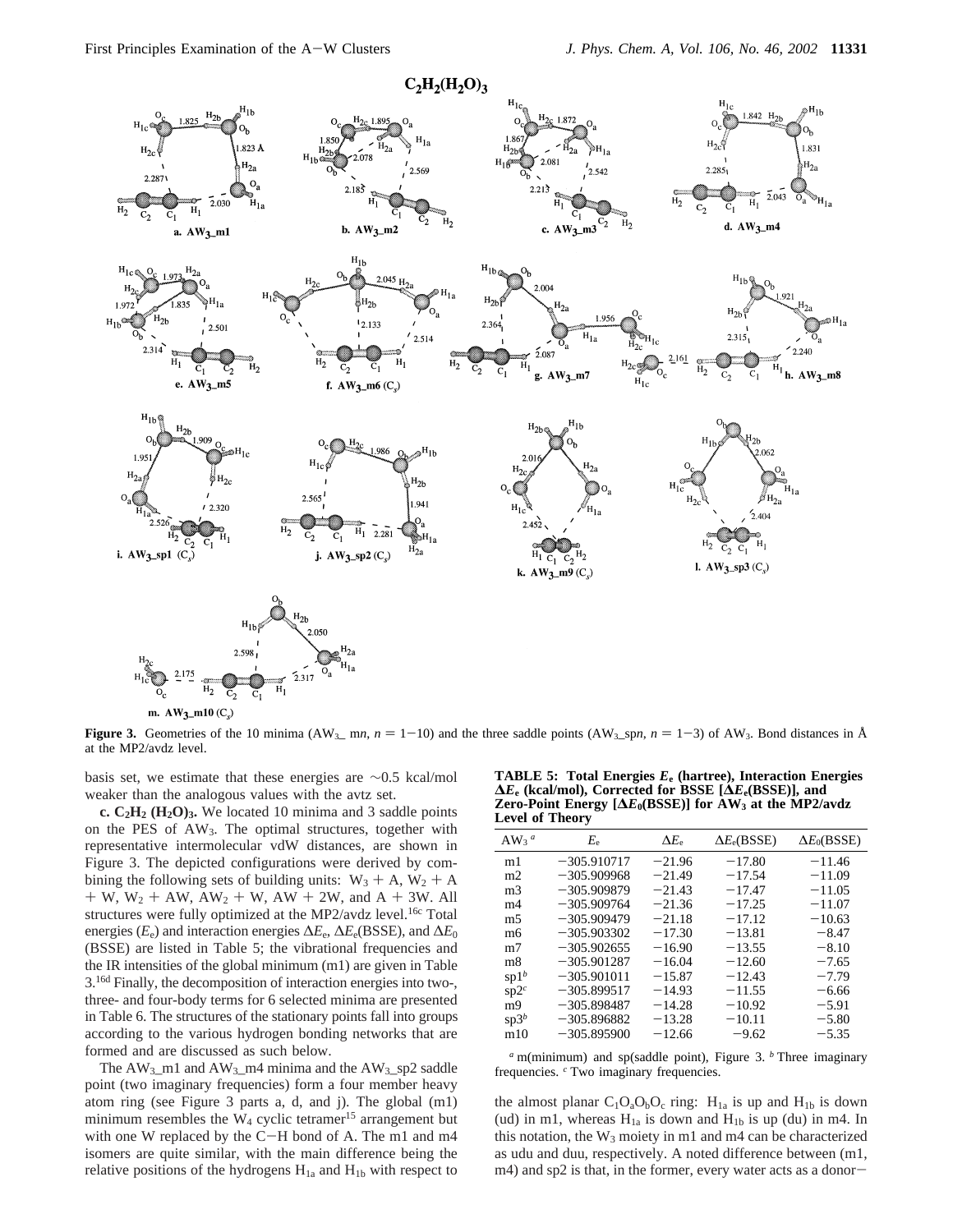

m.  $AW_3$ \_m10 (C<sub>s</sub>)

**Figure 3.** Geometries of the 10 minima (AW<sub>3\_</sub> m*n*,  $n = 1-10$ ) and the three saddle points (AW<sub>3\_</sub>sp*n*,  $n = 1-3$ ) of AW<sub>3</sub>. Bond distances in Å at the MP2/avdz level.

basis set, we estimate that these energies are ∼0.5 kcal/mol weaker than the analogous values with the avtz set.

**c. C2H2 (H2O)3.** We located 10 minima and 3 saddle points on the PES of  $AW_3$ . The optimal structures, together with representative intermolecular vdW distances, are shown in Figure 3. The depicted configurations were derived by combining the following sets of building units:  $W_3 + A$ ,  $W_2 + A$  $+ W$ ,  $W_2 + AW$ ,  $AW_2 + W$ ,  $AW + 2W$ , and  $A + 3W$ . All structures were fully optimized at the MP2/avdz level.<sup>16c</sup> Total energies ( $E_e$ ) and interaction energies  $\Delta E_e$ ,  $\Delta E_e$ (BSSE), and  $\Delta E_0$ (BSSE) are listed in Table 5; the vibrational frequencies and the IR intensities of the global minimum (m1) are given in Table 3.16d Finally, the decomposition of interaction energies into two-, three- and four-body terms for 6 selected minima are presented in Table 6. The structures of the stationary points fall into groups according to the various hydrogen bonding networks that are formed and are discussed as such below.

The  $AW_3$ \_m1 and  $AW_3$ \_m4 minima and the  $AW_3$ \_sp2 saddle point (two imaginary frequencies) form a four member heavy atom ring (see Figure 3 parts a, d, and j). The global (m1) minimum resembles the  $W_4$  cyclic tetramer<sup>15</sup> arrangement but with one W replaced by the C-H bond of A. The m1 and m4 isomers are quite similar, with the main difference being the relative positions of the hydrogens  $H_{1a}$  and  $H_{1b}$  with respect to

**TABLE 5: Total Energies** *E***<sup>e</sup> (hartree), Interaction Energies ∆***E***<sup>e</sup> (kcal/mol), Corrected for BSSE [∆***E***e(BSSE)], and Zero-Point Energy [∆***E***0(BSSE)] for AW3 at the MP2/avdz Level of Theory**

| AW <sub>3</sub> <sup><math>a</math></sup> | $E_{\rm e}$   | $\Delta E_e$ | $\Delta E_e(BSSE)$ | $\Delta E_0(BSSE)$ |
|-------------------------------------------|---------------|--------------|--------------------|--------------------|
| m1                                        | $-305.910717$ | $-21.96$     | $-17.80$           | $-11.46$           |
| m <sub>2</sub>                            | $-305.909968$ | $-21.49$     | $-17.54$           | $-11.09$           |
| m <sub>3</sub>                            | $-305.909879$ | $-21.43$     | $-17.47$           | $-11.05$           |
| m4                                        | $-305.909764$ | $-21.36$     | $-17.25$           | $-11.07$           |
| m <sub>5</sub>                            | $-305.909479$ | $-21.18$     | $-17.12$           | $-10.63$           |
| mб                                        | $-305.903302$ | $-17.30$     | $-13.81$           | $-8.47$            |
| m <sub>7</sub>                            | $-305.902655$ | $-16.90$     | $-13.55$           | $-8.10$            |
| m <sub>8</sub>                            | $-305.901287$ | $-16.04$     | $-12.60$           | $-7.65$            |
| sp1 <sup>b</sup>                          | $-305.901011$ | $-15.87$     | $-12.43$           | $-7.79$            |
| $sp2^c$                                   | $-305.899517$ | $-14.93$     | $-11.55$           | $-6.66$            |
| m <sub>9</sub>                            | $-305.898487$ | $-14.28$     | $-10.92$           | $-5.91$            |
| $sp3^b$                                   | $-305.896882$ | $-13.28$     | $-10.11$           | $-5.80$            |
| m10                                       | $-305.895900$ | $-12.66$     | $-9.62$            | $-5.35$            |
|                                           |               |              |                    |                    |

*<sup>a</sup>* m(minimum) and sp(saddle point), Figure 3. *<sup>b</sup>* Three imaginary frequencies. *<sup>c</sup>* Two imaginary frequencies.

the almost planar  $C_1O_aO_bO_c$  ring:  $H_{1a}$  is up and  $H_{1b}$  is down (ud) in m1, whereas  $H_{1a}$  is down and  $H_{1b}$  is up (du) in m4. In this notation, the  $W_3$  moiety in m1 and m4 can be characterized as udu and duu, respectively. A noted difference between (m1, m4) and sp2 is that, in the former, every water acts as a donor-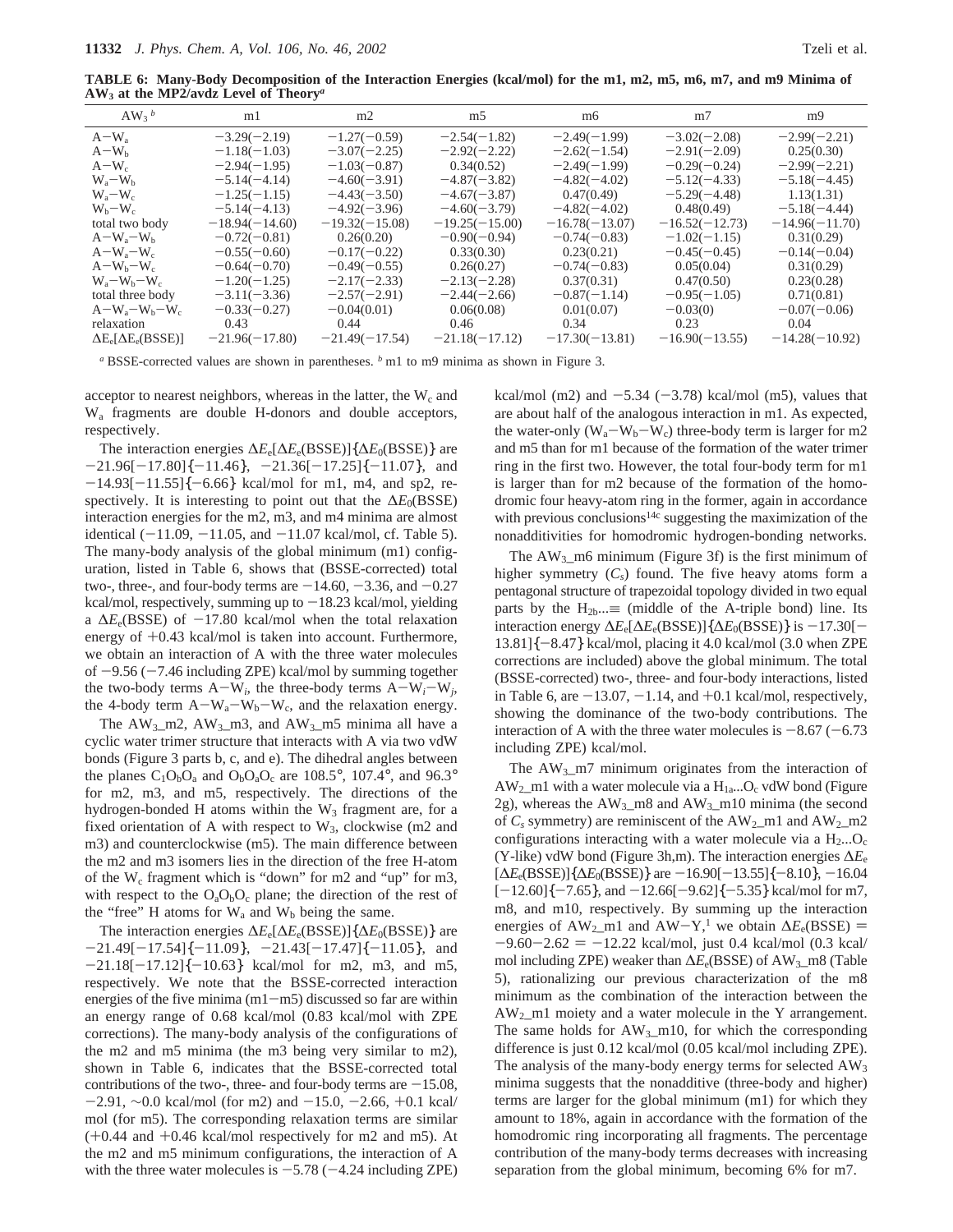**TABLE 6: Many-Body Decomposition of the Interaction Energies (kcal/mol) for the m1, m2, m5, m6, m7, and m9 Minima of AW3 at the MP2/avdz Level of Theory***<sup>a</sup>*

| $AW_3$ <sup>b</sup>            | m1               | m2               | m <sub>5</sub>   | m6               | m <sub>7</sub>   | m9               |
|--------------------------------|------------------|------------------|------------------|------------------|------------------|------------------|
| $A-W_a$                        | $-3.29(-2.19)$   | $-1.27(-0.59)$   | $-2.54(-1.82)$   | $-2.49(-1.99)$   | $-3.02(-2.08)$   | $-2.99(-2.21)$   |
| $A-W_h$                        | $-1.18(-1.03)$   | $-3.07(-2.25)$   | $-2.92(-2.22)$   | $-2.62(-1.54)$   | $-2.91(-2.09)$   | 0.25(0.30)       |
| $A-W_c$                        | $-2.94(-1.95)$   | $-1.03(-0.87)$   | 0.34(0.52)       | $-2.49(-1.99)$   | $-0.29(-0.24)$   | $-2.99(-2.21)$   |
| $W_a-W_b$                      | $-5.14(-4.14)$   | $-4.60(-3.91)$   | $-4.87(-3.82)$   | $-4.82(-4.02)$   | $-5.12(-4.33)$   | $-5.18(-4.45)$   |
| $W_a-W_c$                      | $-1.25(-1.15)$   | $-4.43(-3.50)$   | $-4.67(-3.87)$   | 0.47(0.49)       | $-5.29(-4.48)$   | 1.13(1.31)       |
| $W_b-W_c$                      | $-5.14(-4.13)$   | $-4.92(-3.96)$   | $-4.60(-3.79)$   | $-4.82(-4.02)$   | 0.48(0.49)       | $-5.18(-4.44)$   |
| total two body                 | $-18.94(-14.60)$ | $-19.32(-15.08)$ | $-19.25(-15.00)$ | $-16.78(-13.07)$ | $-16.52(-12.73)$ | $-14.96(-11.70)$ |
| $A-W_a-W_b$                    | $-0.72(-0.81)$   | 0.26(0.20)       | $-0.90(-0.94)$   | $-0.74(-0.83)$   | $-1.02(-1.15)$   | 0.31(0.29)       |
| $A-W_a-W_c$                    | $-0.55(-0.60)$   | $-0.17(-0.22)$   | 0.33(0.30)       | 0.23(0.21)       | $-0.45(-0.45)$   | $-0.14(-0.04)$   |
| $A-W_b-W_c$                    | $-0.64(-0.70)$   | $-0.49(-0.55)$   | 0.26(0.27)       | $-0.74(-0.83)$   | 0.05(0.04)       | 0.31(0.29)       |
| $W_a-W_b-W_c$                  | $-1.20(-1.25)$   | $-2.17(-2.33)$   | $-2.13(-2.28)$   | 0.37(0.31)       | 0.47(0.50)       | 0.23(0.28)       |
| total three body               | $-3.11(-3.36)$   | $-2.57(-2.91)$   | $-2.44(-2.66)$   | $-0.87(-1.14)$   | $-0.95(-1.05)$   | 0.71(0.81)       |
| $A-W_a-W_b-W_c$                | $-0.33(-0.27)$   | $-0.04(0.01)$    | 0.06(0.08)       | 0.01(0.07)       | $-0.03(0)$       | $-0.07(-0.06)$   |
| relaxation                     | 0.43             | 0.44             | 0.46             | 0.34             | 0.23             | 0.04             |
| $\Delta E_e[\Delta E_e(BSSE)]$ | $-21.96(-17.80)$ | $-21.49(-17.54)$ | $-21.18(-17.12)$ | $-17.30(-13.81)$ | $-16.90(-13.55)$ | $-14.28(-10.92)$ |
|                                |                  |                  |                  |                  |                  |                  |

*<sup>a</sup>* BSSE-corrected values are shown in parentheses. *<sup>b</sup>* m1 to m9 minima as shown in Figure 3.

acceptor to nearest neighbors, whereas in the latter, the  $W_c$  and Wa fragments are double H-donors and double acceptors, respectively.

The interaction energies ∆*E*e[∆*E*e(BSSE)]{∆*E*0(BSSE)} are  $-21.96[-17.80]\{-11.46\}, -21.36[-17.25]\{-11.07\},$  and  $-14.93[-11.55]\{-6.66\}$  kcal/mol for m1, m4, and sp2, respectively. It is interesting to point out that the Δ*E*<sub>0</sub>(BSSE) interaction energies for the m2, m3, and m4 minima are almost identical  $(-11.09, -11.05, \text{ and } -11.07 \text{ kcal/mol}, \text{cf. Table 5}).$ The many-body analysis of the global minimum (m1) configuration, listed in Table 6, shows that (BSSE-corrected) total two-, three-, and four-body terms are  $-14.60, -3.36,$  and  $-0.27$ kcal/mol, respectively, summing up to  $-18.23$  kcal/mol, yielding a  $\Delta E_e$ (BSSE) of  $-17.80$  kcal/mol when the total relaxation energy of  $+0.43$  kcal/mol is taken into account. Furthermore, we obtain an interaction of A with the three water molecules of  $-9.56$  ( $-7.46$  including ZPE) kcal/mol by summing together the two-body terms  $A-W_i$ , the three-body terms  $A-W_i-W_j$ , the 4-body term  $A-W_a-W_b-W_c$ , and the relaxation energy.

The  $AW_3$ <sub>m</sub>2,  $AW_3$ <sub>m</sub>3, and  $AW_3$ <sub>m</sub>5 minima all have a cyclic water trimer structure that interacts with A via two vdW bonds (Figure 3 parts b, c, and e). The dihedral angles between the planes  $C_1O_bO_a$  and  $O_bO_aO_c$  are 108.5°, 107.4°, and 96.3° for m2, m3, and m5, respectively. The directions of the hydrogen-bonded H atoms within the  $W_3$  fragment are, for a fixed orientation of A with respect to  $W_3$ , clockwise (m2 and m3) and counterclockwise (m5). The main difference between the m2 and m3 isomers lies in the direction of the free H-atom of the  $W_c$  fragment which is "down" for m2 and "up" for m3, with respect to the  $O_aO_bO_c$  plane; the direction of the rest of the "free" H atoms for  $W_a$  and  $W_b$  being the same.

The interaction energies ∆*E*e[∆*E*e(BSSE)]{∆*E*0(BSSE)} are  $-21.49[-17.54]\{-11.09\}, -21.43[-17.47]\{-11.05\},$  and  $-21.18[-17.12]\{-10.63\}$  kcal/mol for m2, m3, and m5, respectively. We note that the BSSE-corrected interaction energies of the five minima  $(m1-m5)$  discussed so far are within an energy range of 0.68 kcal/mol (0.83 kcal/mol with ZPE corrections). The many-body analysis of the configurations of the m2 and m5 minima (the m3 being very similar to m2), shown in Table 6, indicates that the BSSE-corrected total contributions of the two-, three- and four-body terms are  $-15.08$ ,  $-2.91, \sim 0.0$  kcal/mol (for m2) and  $-15.0, -2.66, +0.1$  kcal/ mol (for m5). The corresponding relaxation terms are similar (+0.44 and +0.46 kcal/mol respectively for m2 and m5). At the m2 and m5 minimum configurations, the interaction of A with the three water molecules is  $-5.78$  ( $-4.24$  including ZPE) kcal/mol (m2) and  $-5.34$  ( $-3.78$ ) kcal/mol (m5), values that are about half of the analogous interaction in m1. As expected, the water-only  $(W_a-W_b-W_c)$  three-body term is larger for m2 and m5 than for m1 because of the formation of the water trimer ring in the first two. However, the total four-body term for m1 is larger than for m2 because of the formation of the homodromic four heavy-atom ring in the former, again in accordance with previous conclusions<sup>14c</sup> suggesting the maximization of the nonadditivities for homodromic hydrogen-bonding networks.

The  $AW_3$  m6 minimum (Figure 3f) is the first minimum of higher symmetry  $(C_s)$  found. The five heavy atoms form a pentagonal structure of trapezoidal topology divided in two equal parts by the  $H_{2b} \equiv$  (middle of the A-triple bond) line. Its interaction energy  $\Delta E_e[\Delta E_e(BSSE)]\{\Delta E_0(BSSE)\}\$  is  $-17.30$ [- $13.81$ ] $\{-8.47\}$  kcal/mol, placing it 4.0 kcal/mol (3.0 when ZPE corrections are included) above the global minimum. The total (BSSE-corrected) two-, three- and four-body interactions, listed in Table 6, are  $-13.07$ ,  $-1.14$ , and  $+0.1$  kcal/mol, respectively, showing the dominance of the two-body contributions. The interaction of A with the three water molecules is  $-8.67$  ( $-6.73$ ) including ZPE) kcal/mol.

The  $AW_3$ <sub>m</sub>7 minimum originates from the interaction of  $AW_2$  m1 with a water molecule via a  $H_{1a}...O_c$  vdW bond (Figure 2g), whereas the  $AW_3$  m8 and  $AW_3$  m10 minima (the second of  $C_s$  symmetry) are reminiscent of the  $AW_2$  m1 and  $AW_2$  m2 configurations interacting with a water molecule via a  $H_2...O_c$ (Y-like) vdW bond (Figure 3h,m). The interaction energies ∆*E*<sup>e</sup>  $[\Delta E_e(BSSE)]$ { $\Delta E_0(BSSE)$ } are  $-16.90[-13.55]$ { $-8.10$ },  $-16.04$  $[-12.60]\{-7.65\}$ , and  $-12.66[-9.62]\{-5.35\}$  kcal/mol for m7, m8, and m10, respectively. By summing up the interaction energies of AW<sub>2</sub>\_m1 and AW-Y,<sup>1</sup> we obtain  $\Delta E_e(BSSE)$  =  $-9.60 - 2.62 = -12.22$  kcal/mol, just 0.4 kcal/mol (0.3 kcal/ mol including ZPE) weaker than  $\Delta E_e(BSSE)$  of AW<sub>3</sub>\_m8 (Table 5), rationalizing our previous characterization of the m8 minimum as the combination of the interaction between the  $AW_2$  m1 moiety and a water molecule in the Y arrangement. The same holds for  $AW_3_m10$ , for which the corresponding difference is just 0.12 kcal/mol (0.05 kcal/mol including ZPE). The analysis of the many-body energy terms for selected  $AW_3$ minima suggests that the nonadditive (three-body and higher) terms are larger for the global minimum (m1) for which they amount to 18%, again in accordance with the formation of the homodromic ring incorporating all fragments. The percentage contribution of the many-body terms decreases with increasing separation from the global minimum, becoming 6% for m7.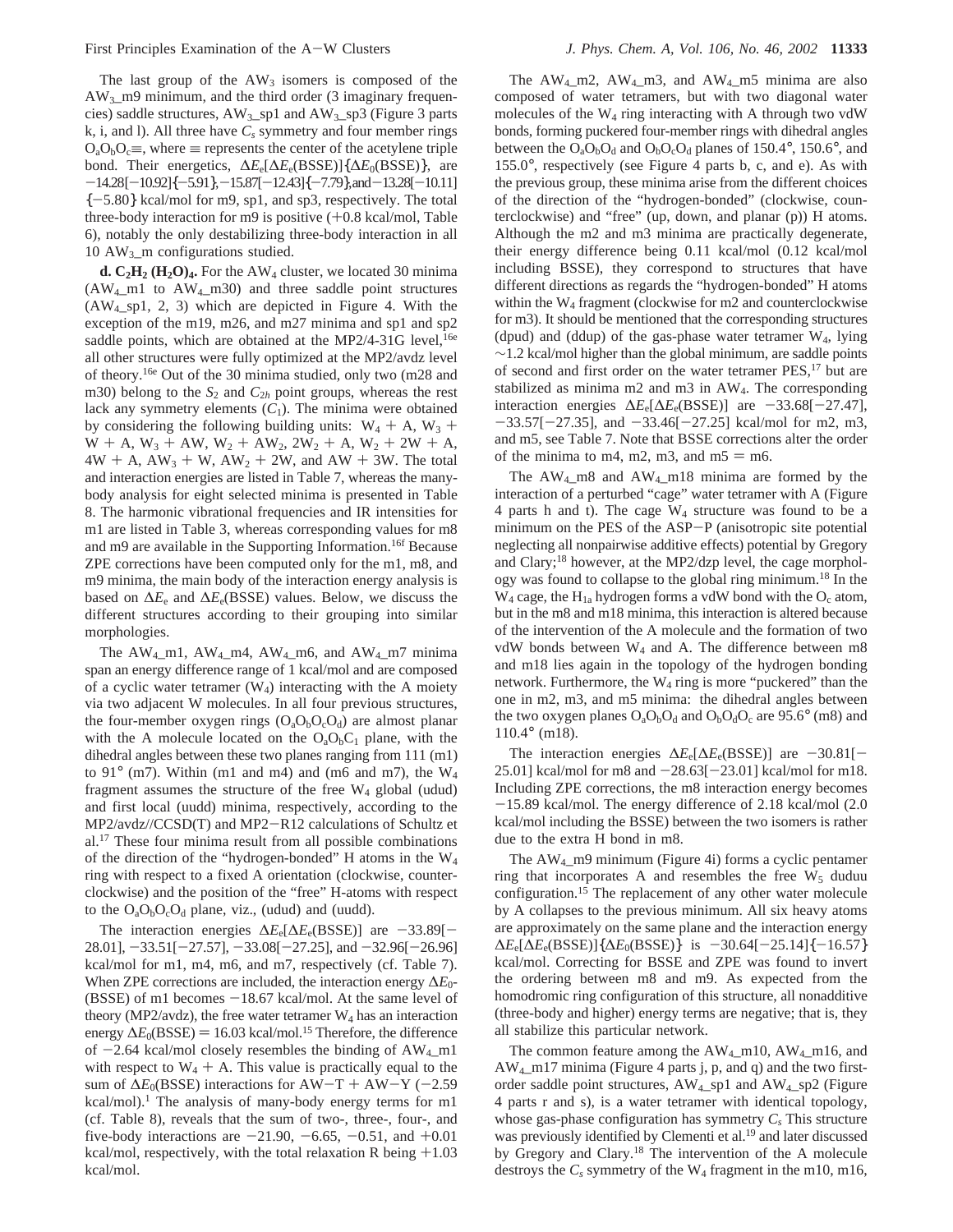The last group of the  $AW_3$  isomers is composed of the AW3\_m9 minimum, and the third order (3 imaginary frequencies) saddle structures,  $AW_3$  sp1 and  $AW_3$  sp3 (Figure 3 parts  $k$ , i, and I). All three have  $C_s$  symmetry and four member rings  $O_aO_bO_c \equiv$ , where  $\equiv$  represents the center of the acetylene triple bond. Their energetics, ∆*E*e[∆*E*e(BSSE)]{∆*E*0(BSSE)}, are  $-14.28[-10.92]\{-5.91\}, -15.87[-12.43]\{-7.79\}, and -13.28[-10.11]$  ${-5.80}$  kcal/mol for m9, sp1, and sp3, respectively. The total three-body interaction for m9 is positive  $(+0.8 \text{ kcal/mol}, \text{Table})$ 6), notably the only destabilizing three-body interaction in all 10 AW3\_m configurations studied.

**d.**  $C_2H_2$  **(** $H_2O$ **)<sub>4</sub>.** For the AW<sub>4</sub> cluster, we located 30 minima (AW4\_m1 to AW4\_m30) and three saddle point structures (AW4\_sp1, 2, 3) which are depicted in Figure 4. With the exception of the m19, m26, and m27 minima and sp1 and sp2 saddle points, which are obtained at the MP2/4-31G level,  $16e$ all other structures were fully optimized at the MP2/avdz level of theory.16e Out of the 30 minima studied, only two (m28 and m30) belong to the  $S_2$  and  $C_{2h}$  point groups, whereas the rest lack any symmetry elements  $(C_1)$ . The minima were obtained by considering the following building units:  $W_4 + A$ ,  $W_3 +$  $W + A$ ,  $W_3 + AW$ ,  $W_2 + AW_2$ ,  $2W_2 + A$ ,  $W_2 + 2W + A$ ,  $4W + A$ ,  $AW_3 + W$ ,  $AW_2 + 2W$ , and  $AW + 3W$ . The total and interaction energies are listed in Table 7, whereas the manybody analysis for eight selected minima is presented in Table 8. The harmonic vibrational frequencies and IR intensities for m1 are listed in Table 3, whereas corresponding values for m8 and m9 are available in the Supporting Information.<sup>16f</sup> Because ZPE corrections have been computed only for the m1, m8, and m9 minima, the main body of the interaction energy analysis is based on  $\Delta E_e$  and  $\Delta E_e$ (BSSE) values. Below, we discuss the different structures according to their grouping into similar morphologies.

The AW<sub>4</sub> m1, AW<sub>4</sub> m4, AW<sub>4</sub> m6, and AW<sub>4</sub> m7 minima span an energy difference range of 1 kcal/mol and are composed of a cyclic water tetramer  $(W_4)$  interacting with the A moiety via two adjacent W molecules. In all four previous structures, the four-member oxygen rings  $(O_aO_bO_cO_d)$  are almost planar with the A molecule located on the  $O_aO_bC_1$  plane, with the dihedral angles between these two planes ranging from 111 (m1) to 91 $^{\circ}$  (m7). Within (m1 and m4) and (m6 and m7), the W<sub>4</sub> fragment assumes the structure of the free  $W_4$  global (udud) and first local (uudd) minima, respectively, according to the MP2/avdz//CCSD(T) and MP2-R12 calculations of Schultz et al.17 These four minima result from all possible combinations of the direction of the "hydrogen-bonded" H atoms in the W4 ring with respect to a fixed A orientation (clockwise, counterclockwise) and the position of the "free" H-atoms with respect to the  $O_aO_bO_cO_d$  plane, viz., (udud) and (uudd).

The interaction energies  $\Delta E_e[\Delta E_e(BSSE)]$  are -33.89[- $28.01$ ],  $-33.51[-27.57]$ ,  $-33.08[-27.25]$ , and  $-32.96[-26.96]$ kcal/mol for m1, m4, m6, and m7, respectively (cf. Table 7). When ZPE corrections are included, the interaction energy ∆*E*0-  $(BSSE)$  of m1 becomes  $-18.67$  kcal/mol. At the same level of theory (MP2/avdz), the free water tetramer  $W_4$  has an interaction energy  $\Delta E_0(BSSE) = 16.03 \text{ kcal/mol}$ .<sup>15</sup> Therefore, the difference of  $-2.64$  kcal/mol closely resembles the binding of  $AW_4$  m1 with respect to  $W_4 + A$ . This value is practically equal to the sum of  $\Delta E_0(BSSE)$  interactions for AW-T + AW-Y (-2.59 kcal/mol).<sup>1</sup> The analysis of many-body energy terms for m1 (cf. Table 8), reveals that the sum of two-, three-, four-, and five-body interactions are  $-21.90, -6.65, -0.51,$  and  $+0.01$ kcal/mol, respectively, with the total relaxation R being  $+1.03$ kcal/mol.

The  $AW_4_m2$ ,  $AW_4_m3$ , and  $AW_4_m5$  minima are also composed of water tetramers, but with two diagonal water molecules of the  $W_4$  ring interacting with A through two vdW bonds, forming puckered four-member rings with dihedral angles between the  $O_aO_bO_d$  and  $O_bO_cO_d$  planes of 150.4°, 150.6°, and 155.0°, respectively (see Figure 4 parts b, c, and e). As with the previous group, these minima arise from the different choices of the direction of the "hydrogen-bonded" (clockwise, counterclockwise) and "free" (up, down, and planar (p)) H atoms. Although the m2 and m3 minima are practically degenerate, their energy difference being 0.11 kcal/mol (0.12 kcal/mol including BSSE), they correspond to structures that have different directions as regards the "hydrogen-bonded" H atoms within the W4 fragment (clockwise for m2 and counterclockwise for m3). It should be mentioned that the corresponding structures (dpud) and (ddup) of the gas-phase water tetramer  $W_4$ , lying  $\sim$ 1.2 kcal/mol higher than the global minimum, are saddle points of second and first order on the water tetramer PES,17 but are stabilized as minima m2 and m3 in AW4. The corresponding interaction energies  $\Delta E_e[\Delta E_e(BSSE)]$  are  $-33.68[-27.47]$ ,  $-33.57[-27.35]$ , and  $-33.46[-27.25]$  kcal/mol for m2, m3, and m5, see Table 7. Note that BSSE corrections alter the order of the minima to m4, m2, m3, and  $m5 = m6$ .

The AW4\_m8 and AW4\_m18 minima are formed by the interaction of a perturbed "cage" water tetramer with A (Figure 4 parts h and t). The cage  $W_4$  structure was found to be a minimum on the PES of the ASP-P (anisotropic site potential neglecting all nonpairwise additive effects) potential by Gregory and Clary;18 however, at the MP2/dzp level, the cage morphology was found to collapse to the global ring minimum.18 In the  $W_4$  cage, the  $H_{1a}$  hydrogen forms a vdW bond with the  $O_c$  atom, but in the m8 and m18 minima, this interaction is altered because of the intervention of the A molecule and the formation of two vdW bonds between W4 and A. The difference between m8 and m18 lies again in the topology of the hydrogen bonding network. Furthermore, the  $W_4$  ring is more "puckered" than the one in m2, m3, and m5 minima: the dihedral angles between the two oxygen planes  $O_4O_6O_d$  and  $O_6O_6O_c$  are 95.6° (m8) and 110.4° (m18).

The interaction energies  $\Delta E_e[\Delta E_e(BSSE)]$  are -30.81[-25.01] kcal/mol for m8 and  $-28.63[-23.01]$  kcal/mol for m18. Including ZPE corrections, the m8 interaction energy becomes -15.89 kcal/mol. The energy difference of 2.18 kcal/mol (2.0 kcal/mol including the BSSE) between the two isomers is rather due to the extra H bond in m8.

The AW4\_m9 minimum (Figure 4i) forms a cyclic pentamer ring that incorporates A and resembles the free  $W_5$  duduu configuration.15 The replacement of any other water molecule by A collapses to the previous minimum. All six heavy atoms are approximately on the same plane and the interaction energy  $\Delta E_e[\Delta E_e(BSSE)]$ { $\Delta E_0(BSSE)$ } is -30.64[-25.14]{-16.57} kcal/mol. Correcting for BSSE and ZPE was found to invert the ordering between m8 and m9. As expected from the homodromic ring configuration of this structure, all nonadditive (three-body and higher) energy terms are negative; that is, they all stabilize this particular network.

The common feature among the  $AW_4$  m10,  $AW_4$  m16, and AW4\_m17 minima (Figure 4 parts j, p, and q) and the two firstorder saddle point structures, AW4\_sp1 and AW4\_sp2 (Figure 4 parts r and s), is a water tetramer with identical topology, whose gas-phase configuration has symmetry  $C_s$  This structure was previously identified by Clementi et al.<sup>19</sup> and later discussed by Gregory and Clary.18 The intervention of the A molecule destroys the  $C_s$  symmetry of the  $W_4$  fragment in the m10, m16,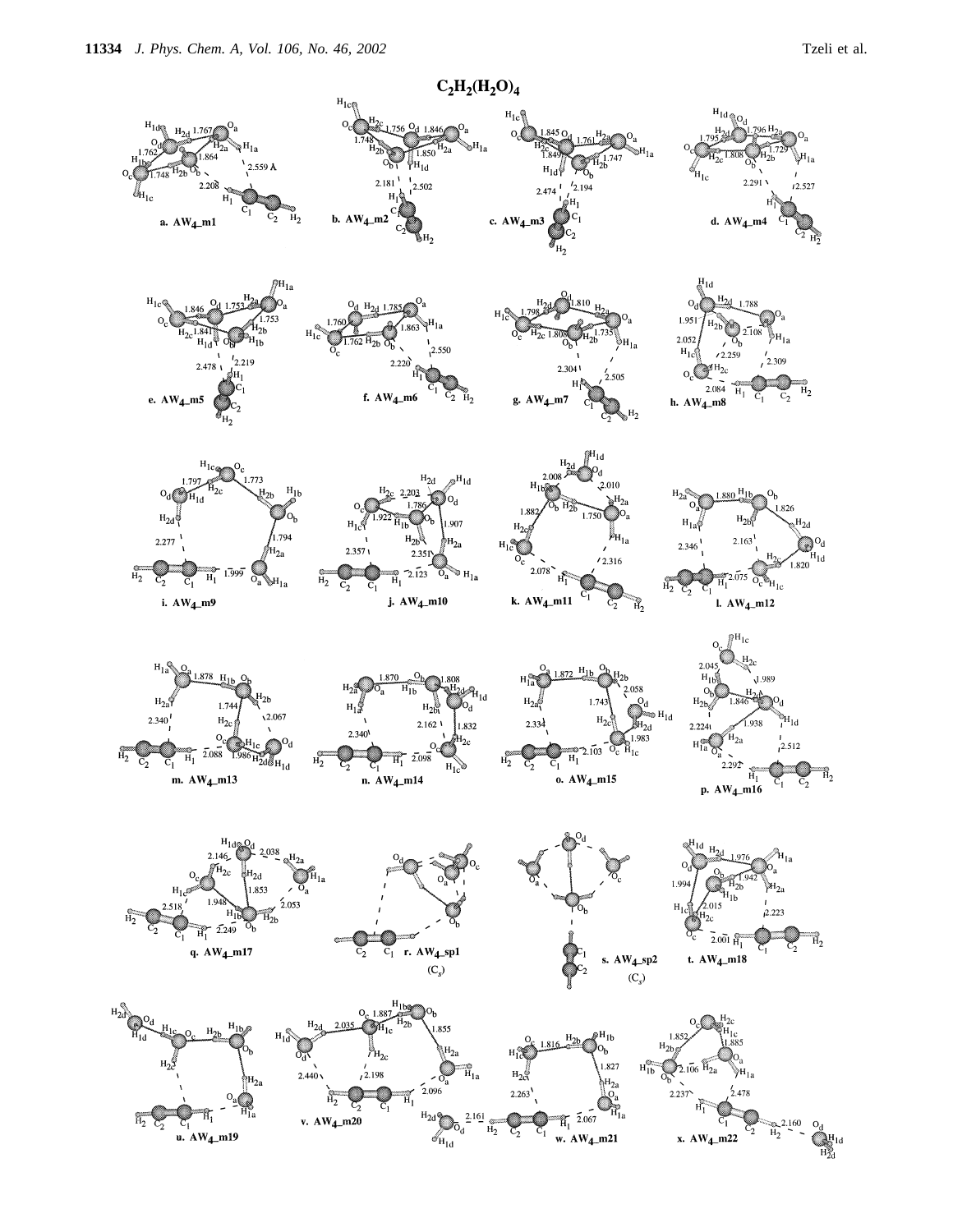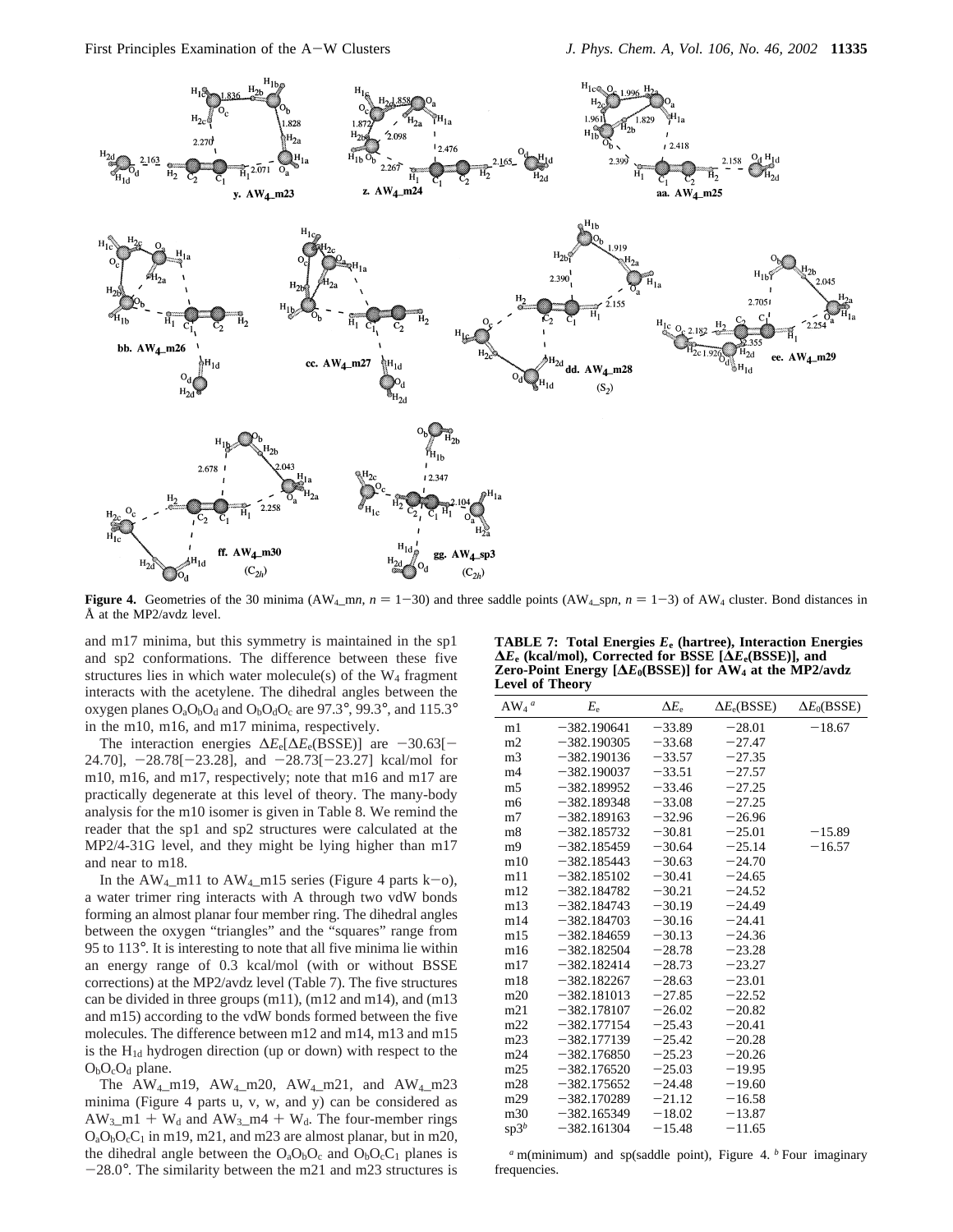

**Figure 4.** Geometries of the 30 minima (AW<sub>4</sub>\_m*n*,  $n = 1-30$ ) and three saddle points (AW<sub>4</sub>\_sp*n*,  $n = 1-3$ ) of AW<sub>4</sub> cluster. Bond distances in Å at the MP2/avdz level.

and m17 minima, but this symmetry is maintained in the sp1 and sp2 conformations. The difference between these five structures lies in which water molecule(s) of the  $W_4$  fragment interacts with the acetylene. The dihedral angles between the oxygen planes  $O_4O_6O_d$  and  $O_6O_6O_c$  are 97.3°, 99.3°, and 115.3° in the m10, m16, and m17 minima, respectively.

The interaction energies  $\Delta E_e[\Delta E_e(BSSE)]$  are -30.63[-24.70],  $-28.78[-23.28]$ , and  $-28.73[-23.27]$  kcal/mol for m10, m16, and m17, respectively; note that m16 and m17 are practically degenerate at this level of theory. The many-body analysis for the m10 isomer is given in Table 8. We remind the reader that the sp1 and sp2 structures were calculated at the MP2/4-31G level, and they might be lying higher than m17 and near to m18.

In the  $AW_4$ -m11 to  $AW_4$ -m15 series (Figure 4 parts k-o), a water trimer ring interacts with A through two vdW bonds forming an almost planar four member ring. The dihedral angles between the oxygen "triangles" and the "squares" range from 95 to 113°. It is interesting to note that all five minima lie within an energy range of 0.3 kcal/mol (with or without BSSE corrections) at the MP2/avdz level (Table 7). The five structures can be divided in three groups (m11), (m12 and m14), and (m13 and m15) according to the vdW bonds formed between the five molecules. The difference between m12 and m14, m13 and m15 is the  $H_{1d}$  hydrogen direction (up or down) with respect to the  $O_bO_cO_d$  plane.

The  $AW_4_m19$ ,  $AW_4_m20$ ,  $AW_4_m21$ , and  $AW_4_m23$ minima (Figure 4 parts u, v, w, and y) can be considered as  $AW_3$ \_m1 + W<sub>d</sub> and  $AW_3$ \_m4 + W<sub>d</sub>. The four-member rings  $O_aO_bO_cC_1$  in m19, m21, and m23 are almost planar, but in m20, the dihedral angle between the  $O_3O_bO_c$  and  $O_6O_cC_1$  planes is  $-28.0^\circ$ . The similarity between the m21 and m23 structures is

**TABLE 7: Total Energies** *E***<sup>e</sup> (hartree), Interaction Energies ∆***E***<sup>e</sup> (kcal/mol), Corrected for BSSE [∆***E***e(BSSE)], and Zero-Point Energy [∆***E***0(BSSE)] for AW4 at the MP2/avdz Level of Theory**

| $AW_4$ <sup><i>a</i></sup> | $E_{\rm e}$   | $\Delta E_{\rm e}$ | $\Delta E_e(BSSE)$ | $\Delta E_0(BSSE)$ |
|----------------------------|---------------|--------------------|--------------------|--------------------|
| m1                         | $-382.190641$ | $-33.89$           | $-28.01$           | $-18.67$           |
| m2                         | $-382.190305$ | $-33.68$           | $-27.47$           |                    |
| m3                         | $-382.190136$ | $-33.57$           | $-27.35$           |                    |
| m <sub>4</sub>             | $-382.190037$ | $-33.51$           | $-27.57$           |                    |
| m5                         | $-382.189952$ | $-33.46$           | $-27.25$           |                    |
| m <sub>6</sub>             | $-382.189348$ | $-33.08$           | $-27.25$           |                    |
| m7                         | $-382.189163$ | $-32.96$           | $-26.96$           |                    |
| m8                         | $-382.185732$ | $-30.81$           | $-25.01$           | $-15.89$           |
| m <sub>9</sub>             | $-382.185459$ | $-30.64$           | $-25.14$           | $-16.57$           |
| m10                        | $-382.185443$ | $-30.63$           | $-24.70$           |                    |
| m11                        | $-382.185102$ | $-30.41$           | $-24.65$           |                    |
| m12                        | $-382.184782$ | $-30.21$           | $-24.52$           |                    |
| m13                        | $-382.184743$ | $-30.19$           | $-24.49$           |                    |
| m14                        | $-382.184703$ | $-30.16$           | $-24.41$           |                    |
| m15                        | $-382.184659$ | $-30.13$           | $-24.36$           |                    |
| m16                        | $-382.182504$ | $-28.78$           | $-23.28$           |                    |
| m17                        | $-382.182414$ | $-28.73$           | $-23.27$           |                    |
| m18                        | $-382.182267$ | $-28.63$           | $-23.01$           |                    |
| m20                        | $-382.181013$ | $-27.85$           | $-22.52$           |                    |
| m21                        | $-382.178107$ | $-26.02$           | $-20.82$           |                    |
| m22                        | $-382.177154$ | $-25.43$           | $-20.41$           |                    |
| m23                        | $-382.177139$ | $-25.42$           | $-20.28$           |                    |
| m24                        | $-382.176850$ | $-25.23$           | $-20.26$           |                    |
| m25                        | $-382.176520$ | $-25.03$           | $-19.95$           |                    |
| m28                        | $-382.175652$ | $-24.48$           | $-19.60$           |                    |
| m29                        | $-382.170289$ | $-21.12$           | $-16.58$           |                    |
| m30                        | $-382.165349$ | $-18.02$           | $-13.87$           |                    |
| $sp3^b$                    | $-382.161304$ | $-15.48$           | $-11.65$           |                    |
|                            |               |                    |                    |                    |

*<sup>a</sup>* m(minimum) and sp(saddle point), Figure 4. *<sup>b</sup>* Four imaginary frequencies.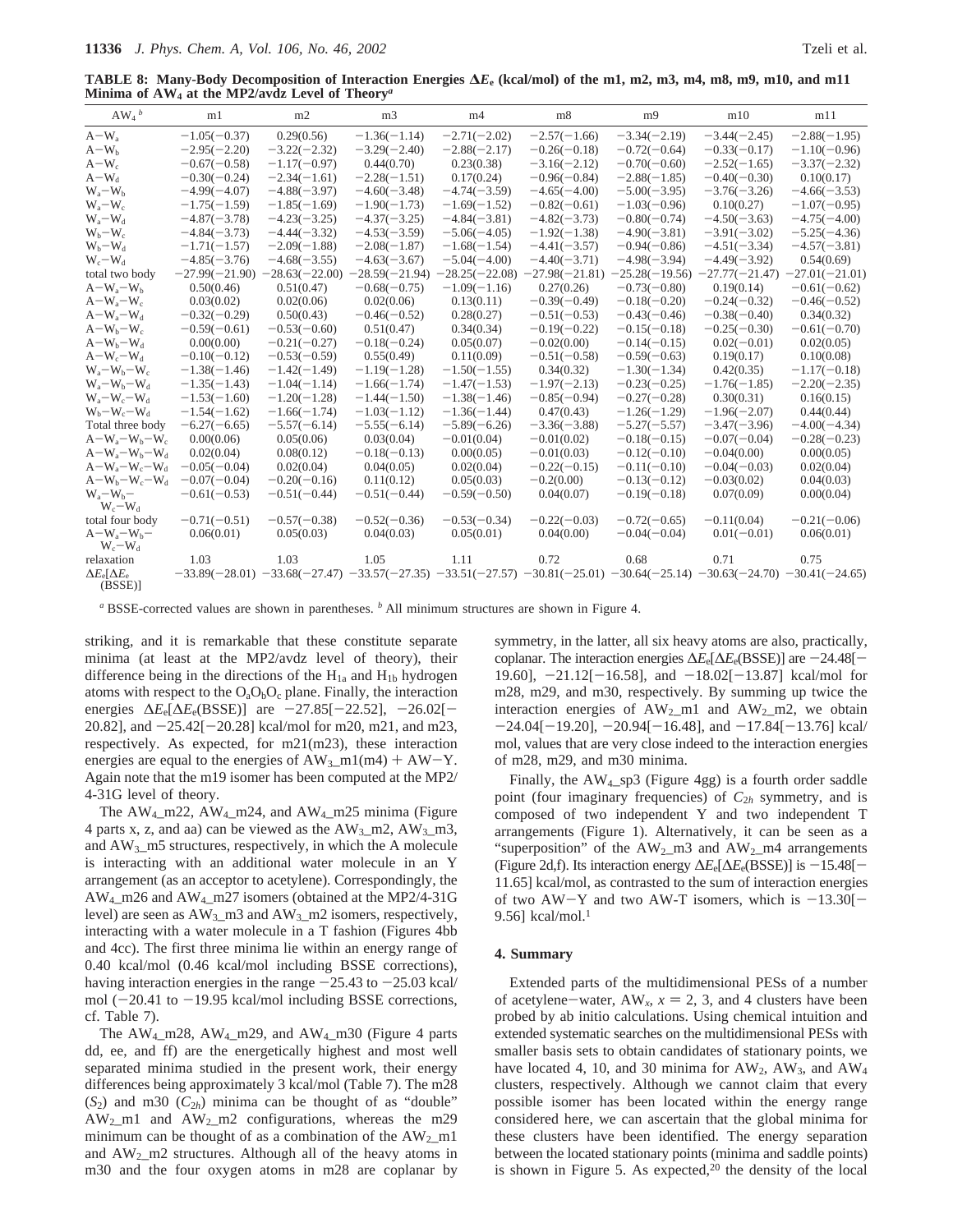**TABLE 8: Many-Body Decomposition of Interaction Energies ∆***E***<sup>e</sup> (kcal/mol) of the m1, m2, m3, m4, m8, m9, m10, and m11 Minima of AW4 at the MP2/avdz Level of Theory***<sup>a</sup>*

| $AW_4$ <sup>b</sup>                | m1               | m2               | m <sub>3</sub>                                                                                                                          | m <sub>4</sub>   | m8               | m <sub>9</sub>   | m10              | m11              |
|------------------------------------|------------------|------------------|-----------------------------------------------------------------------------------------------------------------------------------------|------------------|------------------|------------------|------------------|------------------|
| $A-W_{\rm a}$                      | $-1.05(-0.37)$   | 0.29(0.56)       | $-1.36(-1.14)$                                                                                                                          | $-2.71(-2.02)$   | $-2.57(-1.66)$   | $-3.34(-2.19)$   | $-3.44(-2.45)$   | $-2.88(-1.95)$   |
| $A-W_h$                            | $-2.95(-2.20)$   | $-3.22(-2.32)$   | $-3.29(-2.40)$                                                                                                                          | $-2.88(-2.17)$   | $-0.26(-0.18)$   | $-0.72(-0.64)$   | $-0.33(-0.17)$   | $-1.10(-0.96)$   |
| $A-W_c$                            | $-0.67(-0.58)$   | $-1.17(-0.97)$   | 0.44(0.70)                                                                                                                              | 0.23(0.38)       | $-3.16(-2.12)$   | $-0.70(-0.60)$   | $-2.52(-1.65)$   | $-3.37(-2.32)$   |
| $A-W_d$                            | $-0.30(-0.24)$   | $-2.34(-1.61)$   | $-2.28(-1.51)$                                                                                                                          | 0.17(0.24)       | $-0.96(-0.84)$   | $-2.88(-1.85)$   | $-0.40(-0.30)$   | 0.10(0.17)       |
| $W_a-W_b$                          | $-4.99(-4.07)$   | $-4.88(-3.97)$   | $-4.60(-3.48)$                                                                                                                          | $-4.74(-3.59)$   | $-4.65(-4.00)$   | $-5.00(-3.95)$   | $-3.76(-3.26)$   | $-4.66(-3.53)$   |
| $W_a-W_c$                          | $-1.75(-1.59)$   | $-1.85(-1.69)$   | $-1.90(-1.73)$                                                                                                                          | $-1.69(-1.52)$   | $-0.82(-0.61)$   | $-1.03(-0.96)$   | 0.10(0.27)       | $-1.07(-0.95)$   |
| $W_a-W_d$                          | $-4.87(-3.78)$   | $-4.23(-3.25)$   | $-4.37(-3.25)$                                                                                                                          | $-4.84(-3.81)$   | $-4.82(-3.73)$   | $-0.80(-0.74)$   | $-4.50(-3.63)$   | $-4.75(-4.00)$   |
| $W_b-W_c$                          | $-4.84(-3.73)$   | $-4.44(-3.32)$   | $-4.53(-3.59)$                                                                                                                          | $-5.06(-4.05)$   | $-1.92(-1.38)$   | $-4.90(-3.81)$   | $-3.91(-3.02)$   | $-5.25(-4.36)$   |
| $W_b-W_d$                          | $-1.71(-1.57)$   | $-2.09(-1.88)$   | $-2.08(-1.87)$                                                                                                                          | $-1.68(-1.54)$   | $-4.41(-3.57)$   | $-0.94(-0.86)$   | $-4.51(-3.34)$   | $-4.57(-3.81)$   |
| $W_c-W_d$                          | $-4.85(-3.76)$   | $-4.68(-3.55)$   | $-4.63(-3.67)$                                                                                                                          | $-5.04(-4.00)$   | $-4.40(-3.71)$   | $-4.98(-3.94)$   | $-4.49(-3.92)$   | 0.54(0.69)       |
| total two body                     | $-27.99(-21.90)$ | $-28.63(-22.00)$ | $-28.59(-21.94)$                                                                                                                        | $-28.25(-22.08)$ | $-27.98(-21.81)$ | $-25.28(-19.56)$ | $-27.77(-21.47)$ | $-27.01(-21.01)$ |
| $A-W_a-W_b$                        | 0.50(0.46)       | 0.51(0.47)       | $-0.68(-0.75)$                                                                                                                          | $-1.09(-1.16)$   | 0.27(0.26)       | $-0.73(-0.80)$   | 0.19(0.14)       | $-0.61(-0.62)$   |
| $A-W_a-W_c$                        | 0.03(0.02)       | 0.02(0.06)       | 0.02(0.06)                                                                                                                              | 0.13(0.11)       | $-0.39(-0.49)$   | $-0.18(-0.20)$   | $-0.24(-0.32)$   | $-0.46(-0.52)$   |
| $A-W_a-W_d$                        | $-0.32(-0.29)$   | 0.50(0.43)       | $-0.46(-0.52)$                                                                                                                          | 0.28(0.27)       | $-0.51(-0.53)$   | $-0.43(-0.46)$   | $-0.38(-0.40)$   | 0.34(0.32)       |
| $A-W_b-W_c$                        | $-0.59(-0.61)$   | $-0.53(-0.60)$   | 0.51(0.47)                                                                                                                              | 0.34(0.34)       | $-0.19(-0.22)$   | $-0.15(-0.18)$   | $-0.25(-0.30)$   | $-0.61(-0.70)$   |
| $A-W_b-W_d$                        | 0.00(0.00)       | $-0.21(-0.27)$   | $-0.18(-0.24)$                                                                                                                          | 0.05(0.07)       | $-0.02(0.00)$    | $-0.14(-0.15)$   | $0.02(-0.01)$    | 0.02(0.05)       |
| $A-W_c-W_d$                        | $-0.10(-0.12)$   | $-0.53(-0.59)$   | 0.55(0.49)                                                                                                                              | 0.11(0.09)       | $-0.51(-0.58)$   | $-0.59(-0.63)$   | 0.19(0.17)       | 0.10(0.08)       |
| $W_a-W_b-W_c$                      | $-1.38(-1.46)$   | $-1.42(-1.49)$   | $-1.19(-1.28)$                                                                                                                          | $-1.50(-1.55)$   | 0.34(0.32)       | $-1.30(-1.34)$   | 0.42(0.35)       | $-1.17(-0.18)$   |
| $W_a-W_b-W_d$                      | $-1.35(-1.43)$   | $-1.04(-1.14)$   | $-1.66(-1.74)$                                                                                                                          | $-1.47(-1.53)$   | $-1.97(-2.13)$   | $-0.23(-0.25)$   | $-1.76(-1.85)$   | $-2.20(-2.35)$   |
| $W_a-W_c-W_d$                      | $-1.53(-1.60)$   | $-1.20(-1.28)$   | $-1.44(-1.50)$                                                                                                                          | $-1.38(-1.46)$   | $-0.85(-0.94)$   | $-0.27(-0.28)$   | 0.30(0.31)       | 0.16(0.15)       |
| $W_b-W_c-W_d$                      | $-1.54(-1.62)$   | $-1.66(-1.74)$   | $-1.03(-1.12)$                                                                                                                          | $-1.36(-1.44)$   | 0.47(0.43)       | $-1.26(-1.29)$   | $-1.96(-2.07)$   | 0.44(0.44)       |
| Total three body                   | $-6.27(-6.65)$   | $-5.57(-6.14)$   | $-5.55(-6.14)$                                                                                                                          | $-5.89(-6.26)$   | $-3.36(-3.88)$   | $-5.27(-5.57)$   | $-3.47(-3.96)$   | $-4.00(-4.34)$   |
| $A-W_a-W_b-W_c$                    | 0.00(0.06)       | 0.05(0.06)       | 0.03(0.04)                                                                                                                              | $-0.01(0.04)$    | $-0.01(0.02)$    | $-0.18(-0.15)$   | $-0.07(-0.04)$   | $-0.28(-0.23)$   |
| $A-W_a-W_b-W_d$                    | 0.02(0.04)       | 0.08(0.12)       | $-0.18(-0.13)$                                                                                                                          | 0.00(0.05)       | $-0.01(0.03)$    | $-0.12(-0.10)$   | $-0.04(0.00)$    | 0.00(0.05)       |
| $A-W_a-W_c-W_d$                    | $-0.05(-0.04)$   | 0.02(0.04)       | 0.04(0.05)                                                                                                                              | 0.02(0.04)       | $-0.22(-0.15)$   | $-0.11(-0.10)$   | $-0.04(-0.03)$   | 0.02(0.04)       |
| $A-W_b-W_c-W_d$                    | $-0.07(-0.04)$   | $-0.20(-0.16)$   | 0.11(0.12)                                                                                                                              | 0.05(0.03)       | $-0.2(0.00)$     | $-0.13(-0.12)$   | $-0.03(0.02)$    | 0.04(0.03)       |
| $W_a-W_b-$<br>$W_c-W_d$            | $-0.61(-0.53)$   | $-0.51(-0.44)$   | $-0.51(-0.44)$                                                                                                                          | $-0.59(-0.50)$   | 0.04(0.07)       | $-0.19(-0.18)$   | 0.07(0.09)       | 0.00(0.04)       |
| total four body                    | $-0.71(-0.51)$   | $-0.57(-0.38)$   | $-0.52(-0.36)$                                                                                                                          | $-0.53(-0.34)$   | $-0.22(-0.03)$   | $-0.72(-0.65)$   | $-0.11(0.04)$    | $-0.21(-0.06)$   |
| $A-W_a-W_b-$<br>$W_c-W_d$          | 0.06(0.01)       | 0.05(0.03)       | 0.04(0.03)                                                                                                                              | 0.05(0.01)       | 0.04(0.00)       | $-0.04(-0.04)$   | $0.01(-0.01)$    | 0.06(0.01)       |
| relaxation                         | 1.03             | 1.03             | 1.05                                                                                                                                    | 1.11             | 0.72             | 0.68             | 0.71             | 0.75             |
| $\Delta E_e[\Delta E_e]$<br>(BSSE) |                  |                  | $-33.89(-28.01)$ $-33.68(-27.47)$ $-33.57(-27.35)$ $-33.51(-27.57)$ $-30.81(-25.01)$ $-30.64(-25.14)$ $-30.63(-24.70)$ $-30.41(-24.65)$ |                  |                  |                  |                  |                  |

*<sup>a</sup>* BSSE-corrected values are shown in parentheses. *<sup>b</sup>* All minimum structures are shown in Figure 4.

striking, and it is remarkable that these constitute separate minima (at least at the MP2/avdz level of theory), their difference being in the directions of the  $H_{1a}$  and  $H_{1b}$  hydrogen atoms with respect to the  $O_aO_bO_c$  plane. Finally, the interaction energies  $\Delta E_e[\Delta E_e(BSSE)]$  are  $-27.85[-22.52]$ ,  $-26.02[-$ 20.82], and  $-25.42[-20.28]$  kcal/mol for m20, m21, and m23, respectively. As expected, for m21(m23), these interaction energies are equal to the energies of  $AW_3_m1(m4) + AW-Y$ . Again note that the m19 isomer has been computed at the MP2/ 4-31G level of theory.

The  $AW_4$ <sub>m</sub>22,  $AW_4$ <sub>m24</sub>, and  $AW_4$ <sub>m25</sub> minima (Figure 4 parts x, z, and aa) can be viewed as the  $AW_3$ -m2,  $AW_3$ -m3, and  $AW_3$ \_m5 structures, respectively, in which the A molecule is interacting with an additional water molecule in an Y arrangement (as an acceptor to acetylene). Correspondingly, the AW4\_m26 and AW4\_m27 isomers (obtained at the MP2/4-31G level) are seen as  $AW_3$ \_m3 and  $AW_3$ \_m2 isomers, respectively, interacting with a water molecule in a T fashion (Figures 4bb and 4cc). The first three minima lie within an energy range of 0.40 kcal/mol (0.46 kcal/mol including BSSE corrections), having interaction energies in the range  $-25.43$  to  $-25.03$  kcal/ mol  $(-20.41$  to  $-19.95$  kcal/mol including BSSE corrections, cf. Table 7).

The  $AW_4$  m28,  $AW_4$  m29, and  $AW_4$  m30 (Figure 4 parts dd, ee, and ff) are the energetically highest and most well separated minima studied in the present work, their energy differences being approximately 3 kcal/mol (Table 7). The m28  $(S_2)$  and m30  $(C_{2h})$  minima can be thought of as "double"  $AW_2_m1$  and  $AW_2_m2$  configurations, whereas the m29 minimum can be thought of as a combination of the  $AW_2$  m1 and  $AW_2$  m2 structures. Although all of the heavy atoms in m30 and the four oxygen atoms in m28 are coplanar by symmetry, in the latter, all six heavy atoms are also, practically, coplanar. The interaction energies  $\Delta E_e[\Delta E_e(BSSE)]$  are -24.48[-19.60],  $-21.12[-16.58]$ , and  $-18.02[-13.87]$  kcal/mol for m28, m29, and m30, respectively. By summing up twice the interaction energies of  $AW_2$ -m1 and  $AW_2$ -m2, we obtain  $-24.04[-19.20]$ ,  $-20.94[-16.48]$ , and  $-17.84[-13.76]$  kcal/ mol, values that are very close indeed to the interaction energies of m28, m29, and m30 minima.

Finally, the  $AW_4$  sp3 (Figure 4gg) is a fourth order saddle point (four imaginary frequencies) of *C*<sup>2</sup>*<sup>h</sup>* symmetry, and is composed of two independent Y and two independent T arrangements (Figure 1). Alternatively, it can be seen as a "superposition" of the  $AW_2_m3$  and  $AW_2_m4$  arrangements (Figure 2d,f). Its interaction energy <sup>∆</sup>*E*e[∆*E*e(BSSE)] is -15.48[- 11.65] kcal/mol, as contrasted to the sum of interaction energies of two AW-Y and two AW-T isomers, which is  $-13.30[-$ 9.56] kcal/mol. $1$ 

#### **4. Summary**

Extended parts of the multidimensional PESs of a number of acetylene-water,  $AW_x$ ,  $x = 2$ , 3, and 4 clusters have been probed by ab initio calculations. Using chemical intuition and extended systematic searches on the multidimensional PESs with smaller basis sets to obtain candidates of stationary points, we have located 4, 10, and 30 minima for  $AW_2$ ,  $AW_3$ , and  $AW_4$ clusters, respectively. Although we cannot claim that every possible isomer has been located within the energy range considered here, we can ascertain that the global minima for these clusters have been identified. The energy separation between the located stationary points (minima and saddle points) is shown in Figure 5. As expected, $20$  the density of the local